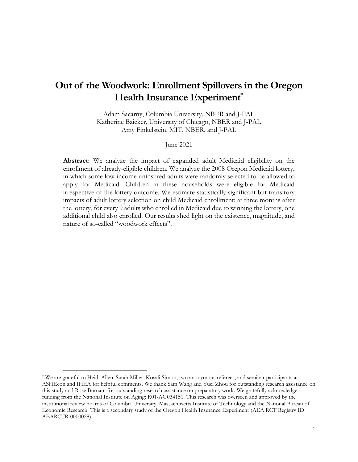# **Out of the Woodwork: Enrollment Spillovers in the Oregon Health Insurance Experiment\***

Adam Sacarny, Columbia University, NBER and J-PAL Katherine Baicker, University of Chicago, NBER and J-PAL Amy Finkelstein, MIT, NBER, and J-PAL

June 2021

**Abstract:** We analyze the impact of expanded adult Medicaid eligibility on the enrollment of already-eligible children. We analyze the 2008 Oregon Medicaid lottery, in which some low-income uninsured adults were randomly selected to be allowed to apply for Medicaid. Children in these households were eligible for Medicaid irrespective of the lottery outcome. We estimate statistically significant but transitory impacts of adult lottery selection on child Medicaid enrollment: at three months after the lottery, for every 9 adults who enrolled in Medicaid due to winning the lottery, one additional child also enrolled. Our results shed light on the existence, magnitude, and nature of so-called "woodwork effects".

<sup>\*</sup> We are grateful to Heidi Allen, Sarah Miller, Kosali Simon, two anonymous referees, and seminar participants at ASHEcon and IHEA for helpful comments. We thank Sam Wang and Yuci Zhou for outstanding research assistance on this study and Rose Burnam for outstanding research assistance on preparatory work. We gratefully acknowledge funding from the National Institute on Aging: R01-AG034151. This research was overseen and approved by the institutional review boards of Columbia University, Massachusetts Institute of Technology and the National Bureau of Economic Research. This is a secondary study of the Oregon Health Insurance Experiment (AEA RCT Registry ID AEARCTR-0000028).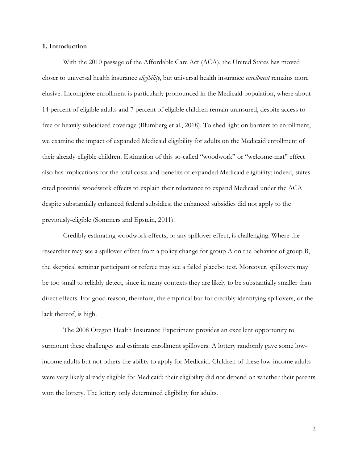### **1. Introduction**

With the 2010 passage of the Affordable Care Act (ACA), the United States has moved closer to universal health insurance *eligibility*, but universal health insurance *enrollment* remains more elusive. Incomplete enrollment is particularly pronounced in the Medicaid population, where about 14 percent of eligible adults and 7 percent of eligible children remain uninsured, despite access to free or heavily subsidized coverage (Blumberg et al., 2018). To shed light on barriers to enrollment, we examine the impact of expanded Medicaid eligibility for adults on the Medicaid enrollment of their already-eligible children. Estimation of this so-called "woodwork" or "welcome-mat" effect also has implications for the total costs and benefits of expanded Medicaid eligibility; indeed, states cited potential woodwork effects to explain their reluctance to expand Medicaid under the ACA despite substantially enhanced federal subsidies; the enhanced subsidies did not apply to the previously-eligible (Sommers and Epstein, 2011).

Credibly estimating woodwork effects, or any spillover effect, is challenging. Where the researcher may see a spillover effect from a policy change for group A on the behavior of group B, the skeptical seminar participant or referee may see a failed placebo test. Moreover, spillovers may be too small to reliably detect, since in many contexts they are likely to be substantially smaller than direct effects. For good reason, therefore, the empirical bar for credibly identifying spillovers, or the lack thereof, is high.

The 2008 Oregon Health Insurance Experiment provides an excellent opportunity to surmount these challenges and estimate enrollment spillovers. A lottery randomly gave some lowincome adults but not others the ability to apply for Medicaid. Children of these low-income adults were very likely already eligible for Medicaid; their eligibility did not depend on whether their parents won the lottery. The lottery only determined eligibility for adults.

2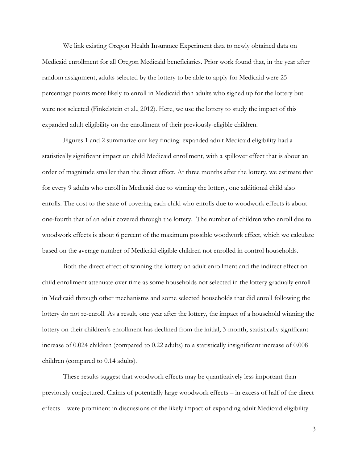We link existing Oregon Health Insurance Experiment data to newly obtained data on Medicaid enrollment for all Oregon Medicaid beneficiaries. Prior work found that, in the year after random assignment, adults selected by the lottery to be able to apply for Medicaid were 25 percentage points more likely to enroll in Medicaid than adults who signed up for the lottery but were not selected (Finkelstein et al., 2012). Here, we use the lottery to study the impact of this expanded adult eligibility on the enrollment of their previously-eligible children.

Figures [1](#page-28-0) and [2](#page-29-0) summarize our key finding: expanded adult Medicaid eligibility had a statistically significant impact on child Medicaid enrollment, with a spillover effect that is about an order of magnitude smaller than the direct effect. At three months after the lottery, we estimate that for every 9 adults who enroll in Medicaid due to winning the lottery, one additional child also enrolls. The cost to the state of covering each child who enrolls due to woodwork effects is about one-fourth that of an adult covered through the lottery. The number of children who enroll due to woodwork effects is about 6 percent of the maximum possible woodwork effect, which we calculate based on the average number of Medicaid-eligible children not enrolled in control households.

Both the direct effect of winning the lottery on adult enrollment and the indirect effect on child enrollment attenuate over time as some households not selected in the lottery gradually enroll in Medicaid through other mechanisms and some selected households that did enroll following the lottery do not re-enroll. As a result, one year after the lottery, the impact of a household winning the lottery on their children's enrollment has declined from the initial, 3-month, statistically significant increase of 0.024 children (compared to 0.22 adults) to a statistically insignificant increase of 0.008 children (compared to 0.14 adults).

These results suggest that woodwork effects may be quantitatively less important than previously conjectured. Claims of potentially large woodwork effects – in excess of half of the direct effects – were prominent in discussions of the likely impact of expanding adult Medicaid eligibility

3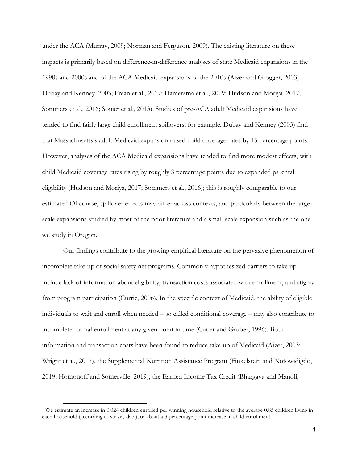under the ACA (Murray, 2009; Norman and Ferguson, 2009). The existing literature on these impacts is primarily based on difference-in-difference analyses of state Medicaid expansions in the 1990s and 2000s and of the ACA Medicaid expansions of the 2010s (Aizer and Grogger, 2003; Dubay and Kenney, 2003; Frean et al., 2017; Hamersma et al., 2019; Hudson and Moriya, 2017; Sommers et al., 2016; Sonier et al., 2013). Studies of pre-ACA adult Medicaid expansions have tended to find fairly large child enrollment spillovers; for example, Dubay and Kenney (2003) find that Massachusetts's adult Medicaid expansion raised child coverage rates by 15 percentage points. However, analyses of the ACA Medicaid expansions have tended to find more modest effects, with child Medicaid coverage rates rising by roughly 3 percentage points due to expanded parental eligibility (Hudson and Moriya, 2017; Sommers et al., 2016); this is roughly comparable to our estimate.<sup>1</sup> Of course, spillover effects may differ across contexts, and particularly between the largescale expansions studied by most of the prior literature and a small-scale expansion such as the one we study in Oregon.

Our findings contribute to the growing empirical literature on the pervasive phenomenon of incomplete take-up of social safety net programs. Commonly hypothesized barriers to take up include lack of information about eligibility, transaction costs associated with enrollment, and stigma from program participation (Currie, 2006). In the specific context of Medicaid, the ability of eligible individuals to wait and enroll when needed – so called conditional coverage – may also contribute to incomplete formal enrollment at any given point in time (Cutler and Gruber, 1996). Both information and transaction costs have been found to reduce take-up of Medicaid (Aizer, 2003; Wright et al., 2017), the Supplemental Nutrition Assistance Program (Finkelstein and Notowidigdo, 2019; Homonoff and Somerville, 2019), the Earned Income Tax Credit (Bhargava and Manoli,

<sup>1</sup> We estimate an increase in 0.024 children enrolled per winning household relative to the average 0.85 children living in each household (according to survey data), or about a 3 percentage point increase in child enrollment.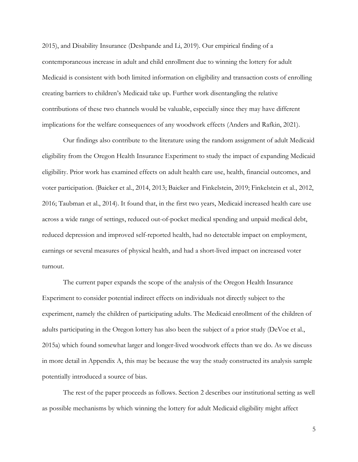2015), and Disability Insurance (Deshpande and Li, 2019). Our empirical finding of a contemporaneous increase in adult and child enrollment due to winning the lottery for adult Medicaid is consistent with both limited information on eligibility and transaction costs of enrolling creating barriers to children's Medicaid take up. Further work disentangling the relative contributions of these two channels would be valuable, especially since they may have different implications for the welfare consequences of any woodwork effects (Anders and Rafkin, 2021).

Our findings also contribute to the literature using the random assignment of adult Medicaid eligibility from the Oregon Health Insurance Experiment to study the impact of expanding Medicaid eligibility. Prior work has examined effects on adult health care use, health, financial outcomes, and voter participation. (Baicker et al., 2014, 2013; Baicker and Finkelstein, 2019; Finkelstein et al., 2012, 2016; Taubman et al., 2014). It found that, in the first two years, Medicaid increased health care use across a wide range of settings, reduced out-of-pocket medical spending and unpaid medical debt, reduced depression and improved self-reported health, had no detectable impact on employment, earnings or several measures of physical health, and had a short-lived impact on increased voter turnout.

The current paper expands the scope of the analysis of the Oregon Health Insurance Experiment to consider potential indirect effects on individuals not directly subject to the experiment, namely the children of participating adults. The Medicaid enrollment of the children of adults participating in the Oregon lottery has also been the subject of a prior study (DeVoe et al., 2015a) which found somewhat larger and longer-lived woodwork effects than we do. As we discuss in more detail in Appendix A, this may be because the way the study constructed its analysis sample potentially introduced a source of bias.

The rest of the paper proceeds as follows. Section [2](#page-5-0) describes our institutional setting as well as possible mechanisms by which winning the lottery for adult Medicaid eligibility might affect

5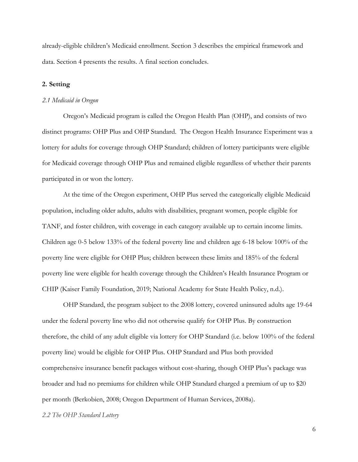already-eligible children's Medicaid enrollment. Section [3](#page-9-0) describes the empirical framework and data. Section [4](#page-16-0) presents the results. A final section concludes.

### <span id="page-5-0"></span>**2. Setting**

#### *2.1 Medicaid in Oregon*

Oregon's Medicaid program is called the Oregon Health Plan (OHP), and consists of two distinct programs: OHP Plus and OHP Standard. The Oregon Health Insurance Experiment was a lottery for adults for coverage through OHP Standard; children of lottery participants were eligible for Medicaid coverage through OHP Plus and remained eligible regardless of whether their parents participated in or won the lottery.

At the time of the Oregon experiment, OHP Plus served the categorically eligible Medicaid population, including older adults, adults with disabilities, pregnant women, people eligible for TANF, and foster children, with coverage in each category available up to certain income limits. Children age 0-5 below 133% of the federal poverty line and children age 6-18 below 100% of the poverty line were eligible for OHP Plus; children between these limits and 185% of the federal poverty line were eligible for health coverage through the Children's Health Insurance Program or CHIP (Kaiser Family Foundation, 2019; National Academy for State Health Policy, n.d.).

OHP Standard, the program subject to the 2008 lottery, covered uninsured adults age 19-64 under the federal poverty line who did not otherwise qualify for OHP Plus. By construction therefore, the child of any adult eligible via lottery for OHP Standard (i.e. below 100% of the federal poverty line) would be eligible for OHP Plus. OHP Standard and Plus both provided comprehensive insurance benefit packages without cost-sharing, though OHP Plus's package was broader and had no premiums for children while OHP Standard charged a premium of up to \$20 per month (Berkobien, 2008; Oregon Department of Human Services, 2008a).

#### *2.2 The OHP Standard Lottery*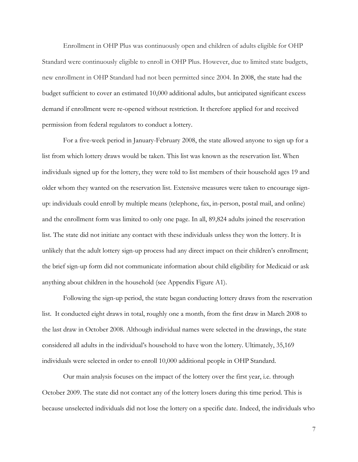Enrollment in OHP Plus was continuously open and children of adults eligible for OHP Standard were continuously eligible to enroll in OHP Plus. However, due to limited state budgets, new enrollment in OHP Standard had not been permitted since 2004. In 2008, the state had the budget sufficient to cover an estimated 10,000 additional adults, but anticipated significant excess demand if enrollment were re-opened without restriction. It therefore applied for and received permission from federal regulators to conduct a lottery.

For a five-week period in January-February 2008, the state allowed anyone to sign up for a list from which lottery draws would be taken. This list was known as the reservation list. When individuals signed up for the lottery, they were told to list members of their household ages 19 and older whom they wanted on the reservation list. Extensive measures were taken to encourage signup: individuals could enroll by multiple means (telephone, fax, in-person, postal mail, and online) and the enrollment form was limited to only one page. In all, 89,824 adults joined the reservation list. The state did not initiate any contact with these individuals unless they won the lottery. It is unlikely that the adult lottery sign-up process had any direct impact on their children's enrollment; the brief sign-up form did not communicate information about child eligibility for Medicaid or ask anything about children in the household (see [Appendix Figure A1\)](#page-44-0).

Following the sign-up period, the state began conducting lottery draws from the reservation list. It conducted eight draws in total, roughly one a month, from the first draw in March 2008 to the last draw in October 2008. Although individual names were selected in the drawings, the state considered all adults in the individual's household to have won the lottery. Ultimately, 35,169 individuals were selected in order to enroll 10,000 additional people in OHP Standard.

Our main analysis focuses on the impact of the lottery over the first year, i.e. through October 2009. The state did not contact any of the lottery losers during this time period. This is because unselected individuals did not lose the lottery on a specific date. Indeed, the individuals who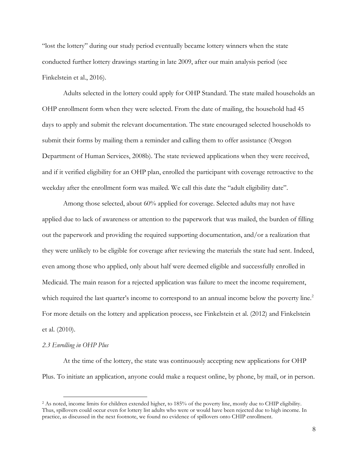"lost the lottery" during our study period eventually became lottery winners when the state conducted further lottery drawings starting in late 2009, after our main analysis period (see Finkelstein et al., 2016).

Adults selected in the lottery could apply for OHP Standard. The state mailed households an OHP enrollment form when they were selected. From the date of mailing, the household had 45 days to apply and submit the relevant documentation. The state encouraged selected households to submit their forms by mailing them a reminder and calling them to offer assistance (Oregon Department of Human Services, 2008b). The state reviewed applications when they were received, and if it verified eligibility for an OHP plan, enrolled the participant with coverage retroactive to the weekday after the enrollment form was mailed. We call this date the "adult eligibility date".

Among those selected, about 60% applied for coverage. Selected adults may not have applied due to lack of awareness or attention to the paperwork that was mailed, the burden of filling out the paperwork and providing the required supporting documentation, and/or a realization that they were unlikely to be eligible for coverage after reviewing the materials the state had sent. Indeed, even among those who applied, only about half were deemed eligible and successfully enrolled in Medicaid. The main reason for a rejected application was failure to meet the income requirement, which required the last quarter's income to correspond to an annual income below the poverty line.<sup>2</sup> For more details on the lottery and application process, see Finkelstein et al. (2012) and Finkelstein et al. (2010).

#### *2.3 Enrolling in OHP Plus*

At the time of the lottery, the state was continuously accepting new applications for OHP Plus. To initiate an application, anyone could make a request online, by phone, by mail, or in person.

<sup>&</sup>lt;sup>2</sup> As noted, income limits for children extended higher, to 185% of the poverty line, mostly due to CHIP eligibility. Thus, spillovers could occur even for lottery list adults who were or would have been rejected due to high income. In practice, as discussed in the next footnote, we found no evidence of spillovers onto CHIP enrollment.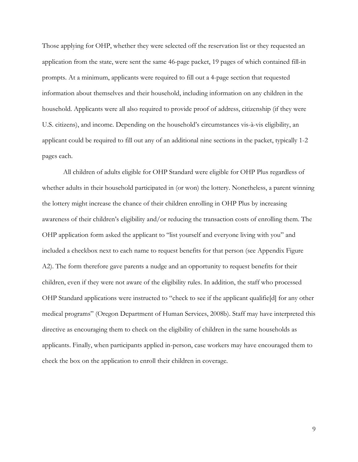Those applying for OHP, whether they were selected off the reservation list or they requested an application from the state, were sent the same 46-page packet, 19 pages of which contained fill-in prompts. At a minimum, applicants were required to fill out a 4-page section that requested information about themselves and their household, including information on any children in the household. Applicants were all also required to provide proof of address, citizenship (if they were U.S. citizens), and income. Depending on the household's circumstances vis-à-vis eligibility, an applicant could be required to fill out any of an additional nine sections in the packet, typically 1-2 pages each.

All children of adults eligible for OHP Standard were eligible for OHP Plus regardless of whether adults in their household participated in (or won) the lottery. Nonetheless, a parent winning the lottery might increase the chance of their children enrolling in OHP Plus by increasing awareness of their children's eligibility and/or reducing the transaction costs of enrolling them. The OHP application form asked the applicant to "list yourself and everyone living with you" and included a checkbox next to each name to request benefits for that person (see [Appendix Figure](#page-45-0)  [A2\)](#page-45-0). The form therefore gave parents a nudge and an opportunity to request benefits for their children, even if they were not aware of the eligibility rules. In addition, the staff who processed OHP Standard applications were instructed to "check to see if the applicant qualifie[d] for any other medical programs" (Oregon Department of Human Services, 2008b). Staff may have interpreted this directive as encouraging them to check on the eligibility of children in the same households as applicants. Finally, when participants applied in-person, case workers may have encouraged them to check the box on the application to enroll their children in coverage.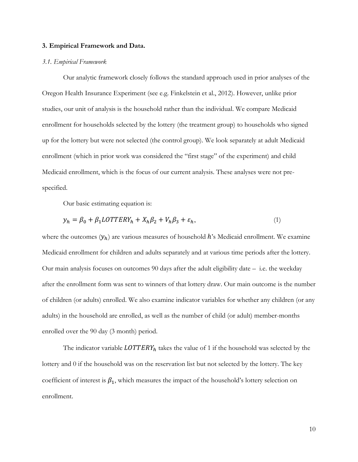#### <span id="page-9-0"></span>**3. Empirical Framework and Data.**

#### *3.1. Empirical Framework*

Our analytic framework closely follows the standard approach used in prior analyses of the Oregon Health Insurance Experiment (see e.g. Finkelstein et al., 2012). However, unlike prior studies, our unit of analysis is the household rather than the individual. We compare Medicaid enrollment for households selected by the lottery (the treatment group) to households who signed up for the lottery but were not selected (the control group). We look separately at adult Medicaid enrollment (which in prior work was considered the "first stage" of the experiment) and child Medicaid enrollment, which is the focus of our current analysis. These analyses were not prespecified.

Our basic estimating equation is:

$$
y_h = \beta_0 + \beta_1 LOTTERY_h + X_h \beta_2 + V_h \beta_3 + \varepsilon_h, \tag{1}
$$

where the outcomes  $(y_h)$  are various measures of household h's Medicaid enrollment. We examine Medicaid enrollment for children and adults separately and at various time periods after the lottery. Our main analysis focuses on outcomes 90 days after the adult eligibility date – i.e. the weekday after the enrollment form was sent to winners of that lottery draw. Our main outcome is the number of children (or adults) enrolled. We also examine indicator variables for whether any children (or any adults) in the household are enrolled, as well as the number of child (or adult) member-months enrolled over the 90 day (3 month) period.

The indicator variable  $LOTTERY_h$  takes the value of 1 if the household was selected by the lottery and 0 if the household was on the reservation list but not selected by the lottery. The key coefficient of interest is  $\beta_1$ , which measures the impact of the household's lottery selection on enrollment.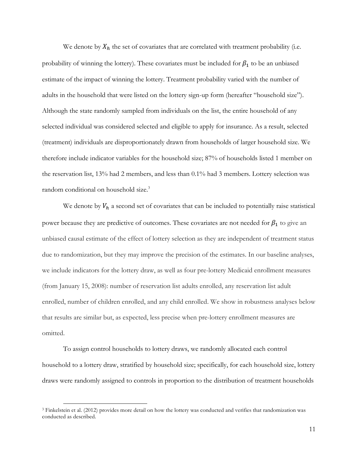We denote by  $X_h$  the set of covariates that are correlated with treatment probability (i.e. probability of winning the lottery). These covariates must be included for  $\beta_1$  to be an unbiased estimate of the impact of winning the lottery. Treatment probability varied with the number of adults in the household that were listed on the lottery sign-up form (hereafter "household size"). Although the state randomly sampled from individuals on the list, the entire household of any selected individual was considered selected and eligible to apply for insurance. As a result, selected (treatment) individuals are disproportionately drawn from households of larger household size. We therefore include indicator variables for the household size; 87% of households listed 1 member on the reservation list, 13% had 2 members, and less than 0.1% had 3 members. Lottery selection was random conditional on household size.<sup>3</sup>

We denote by  $V_h$  a second set of covariates that can be included to potentially raise statistical power because they are predictive of outcomes. These covariates are not needed for  $\beta_1$  to give an unbiased causal estimate of the effect of lottery selection as they are independent of treatment status due to randomization, but they may improve the precision of the estimates. In our baseline analyses, we include indicators for the lottery draw, as well as four pre-lottery Medicaid enrollment measures (from January 15, 2008): number of reservation list adults enrolled, any reservation list adult enrolled, number of children enrolled, and any child enrolled. We show in robustness analyses below that results are similar but, as expected, less precise when pre-lottery enrollment measures are omitted.

To assign control households to lottery draws, we randomly allocated each control household to a lottery draw, stratified by household size; specifically, for each household size, lottery draws were randomly assigned to controls in proportion to the distribution of treatment households

<sup>3</sup> Finkelstein et al. (2012) provides more detail on how the lottery was conducted and verifies that randomization was conducted as described.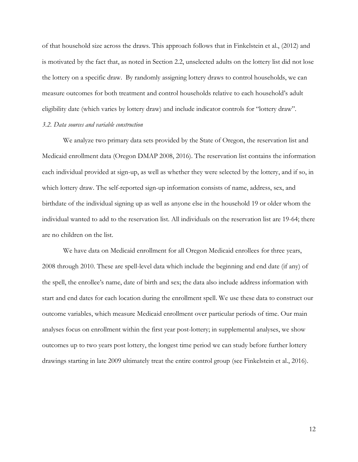of that household size across the draws. This approach follows that in Finkelstein et al., (2012) and is motivated by the fact that, as noted in Section 2.2, unselected adults on the lottery list did not lose the lottery on a specific draw. By randomly assigning lottery draws to control households, we can measure outcomes for both treatment and control households relative to each household's adult eligibility date (which varies by lottery draw) and include indicator controls for "lottery draw".

## *3.2. Data sources and variable construction*

We analyze two primary data sets provided by the State of Oregon, the reservation list and Medicaid enrollment data (Oregon DMAP 2008, 2016). The reservation list contains the information each individual provided at sign-up, as well as whether they were selected by the lottery, and if so, in which lottery draw. The self-reported sign-up information consists of name, address, sex, and birthdate of the individual signing up as well as anyone else in the household 19 or older whom the individual wanted to add to the reservation list. All individuals on the reservation list are 19-64; there are no children on the list.

We have data on Medicaid enrollment for all Oregon Medicaid enrollees for three years, 2008 through 2010. These are spell-level data which include the beginning and end date (if any) of the spell, the enrollee's name, date of birth and sex; the data also include address information with start and end dates for each location during the enrollment spell. We use these data to construct our outcome variables, which measure Medicaid enrollment over particular periods of time. Our main analyses focus on enrollment within the first year post-lottery; in supplemental analyses, we show outcomes up to two years post lottery, the longest time period we can study before further lottery drawings starting in late 2009 ultimately treat the entire control group (see Finkelstein et al., 2016).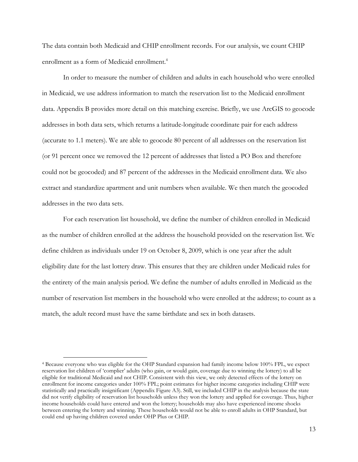The data contain both Medicaid and CHIP enrollment records. For our analysis, we count CHIP enrollment as a form of Medicaid enrollment.<sup>4</sup>

In order to measure the number of children and adults in each household who were enrolled in Medicaid, we use address information to match the reservation list to the Medicaid enrollment data. [Appendix B](#page-39-0) provides more detail on this matching exercise. Briefly, we use ArcGIS to geocode addresses in both data sets, which returns a latitude-longitude coordinate pair for each address (accurate to 1.1 meters). We are able to geocode 80 percent of all addresses on the reservation list (or 91 percent once we removed the 12 percent of addresses that listed a PO Box and therefore could not be geocoded) and 87 percent of the addresses in the Medicaid enrollment data. We also extract and standardize apartment and unit numbers when available. We then match the geocoded addresses in the two data sets.

For each reservation list household, we define the number of children enrolled in Medicaid as the number of children enrolled at the address the household provided on the reservation list. We define children as individuals under 19 on October 8, 2009, which is one year after the adult eligibility date for the last lottery draw. This ensures that they are children under Medicaid rules for the entirety of the main analysis period. We define the number of adults enrolled in Medicaid as the number of reservation list members in the household who were enrolled at the address; to count as a match, the adult record must have the same birthdate and sex in both datasets.

<sup>4</sup> Because everyone who was eligible for the OHP Standard expansion had family income below 100% FPL, we expect reservation list children of 'complier' adults (who gain, or would gain, coverage due to winning the lottery) to all be eligible for traditional Medicaid and not CHIP. Consistent with this view, we only detected effects of the lottery on enrollment for income categories under 100% FPL; point estimates for higher income categories including CHIP were statistically and practically insignificant [\(Appendix Figure A3\)](#page-46-0). Still, we included CHIP in the analysis because the state did not verify eligibility of reservation list households unless they won the lottery and applied for coverage. Thus, higher income households could have entered and won the lottery; households may also have experienced income shocks between entering the lottery and winning. These households would not be able to enroll adults in OHP Standard, but could end up having children covered under OHP Plus or CHIP.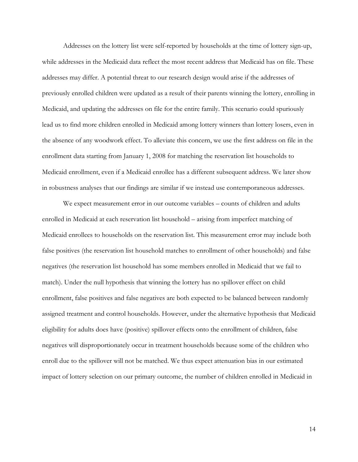Addresses on the lottery list were self-reported by households at the time of lottery sign-up, while addresses in the Medicaid data reflect the most recent address that Medicaid has on file. These addresses may differ. A potential threat to our research design would arise if the addresses of previously enrolled children were updated as a result of their parents winning the lottery, enrolling in Medicaid, and updating the addresses on file for the entire family. This scenario could spuriously lead us to find more children enrolled in Medicaid among lottery winners than lottery losers, even in the absence of any woodwork effect. To alleviate this concern, we use the first address on file in the enrollment data starting from January 1, 2008 for matching the reservation list households to Medicaid enrollment, even if a Medicaid enrollee has a different subsequent address. We later show in robustness analyses that our findings are similar if we instead use contemporaneous addresses.

We expect measurement error in our outcome variables – counts of children and adults enrolled in Medicaid at each reservation list household – arising from imperfect matching of Medicaid enrollees to households on the reservation list. This measurement error may include both false positives (the reservation list household matches to enrollment of other households) and false negatives (the reservation list household has some members enrolled in Medicaid that we fail to match). Under the null hypothesis that winning the lottery has no spillover effect on child enrollment, false positives and false negatives are both expected to be balanced between randomly assigned treatment and control households. However, under the alternative hypothesis that Medicaid eligibility for adults does have (positive) spillover effects onto the enrollment of children, false negatives will disproportionately occur in treatment households because some of the children who enroll due to the spillover will not be matched. We thus expect attenuation bias in our estimated impact of lottery selection on our primary outcome, the number of children enrolled in Medicaid in

14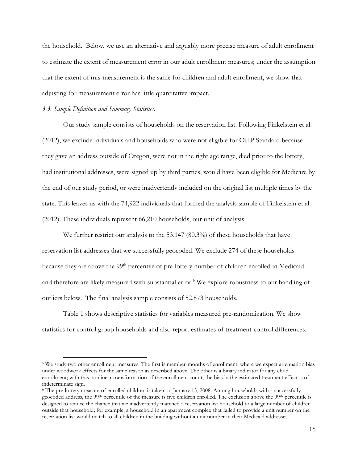the household. <sup>5</sup> Below, we use an alternative and arguably more precise measure of adult enrollment to estimate the extent of measurement error in our adult enrollment measures; under the assumption that the extent of mis-measurement is the same for children and adult enrollment, we show that adjusting for measurement error has little quantitative impact.

## *3.3. Sample Definition and Summary Statistics.*

Our study sample consists of households on the reservation list. Following Finkelstein et al. (2012), we exclude individuals and households who were not eligible for OHP Standard because they gave an address outside of Oregon, were not in the right age range, died prior to the lottery, had institutional addresses, were signed up by third parties, would have been eligible for Medicare by the end of our study period, or were inadvertently included on the original list multiple times by the state. This leaves us with the 74,922 individuals that formed the analysis sample of Finkelstein et al. (2012). These individuals represent 66,210 households, our unit of analysis.

We further restrict our analysis to the 53,147 (80.3%) of these households that have reservation list addresses that we successfully geocoded. We exclude 274 of these households because they are above the 99<sup>th</sup> percentile of pre-lottery number of children enrolled in Medicaid and therefore are likely measured with substantial error.<sup>6</sup> We explore robustness to our handling of outliers below. The final analysis sample consists of 52,873 households.

[Table 1](#page-32-0) shows descriptive statistics for variables measured pre-randomization. We show statistics for control group households and also report estimates of treatment-control differences.

<sup>5</sup> We study two other enrollment measures. The first is member-months of enrollment, where we expect attenuation bias under woodwork effects for the same reason as described above. The other is a binary indicator for any child enrollment; with this nonlinear transformation of the enrollment count, the bias in the estimated treatment effect is of indeterminate sign.

<sup>6</sup> The pre-lottery measure of enrolled children is taken on January 15, 2008. Among households with a successfully geocoded address, the 99th percentile of the measure is five children enrolled. The exclusion above the 99th percentile is designed to reduce the chance that we inadvertently matched a reservation list household to a large number of children outside that household; for example, a household in an apartment complex that failed to provide a unit number on the reservation list would match to all children in the building without a unit number in their Medicaid addresses.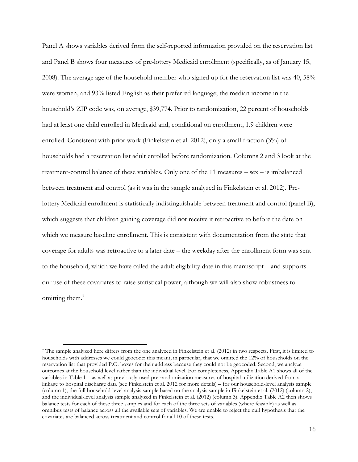Panel A shows variables derived from the self-reported information provided on the reservation list and Panel B shows four measures of pre-lottery Medicaid enrollment (specifically, as of January 15, 2008). The average age of the household member who signed up for the reservation list was 40, 58% were women, and 93% listed English as their preferred language; the median income in the household's ZIP code was, on average, \$39,774. Prior to randomization, 22 percent of households had at least one child enrolled in Medicaid and, conditional on enrollment, 1.9 children were enrolled. Consistent with prior work (Finkelstein et al. 2012), only a small fraction (3%) of households had a reservation list adult enrolled before randomization. Columns 2 and 3 look at the treatment-control balance of these variables. Only one of the 11 measures – sex – is imbalanced between treatment and control (as it was in the sample analyzed in Finkelstein et al. 2012). Prelottery Medicaid enrollment is statistically indistinguishable between treatment and control (panel B), which suggests that children gaining coverage did not receive it retroactive to before the date on which we measure baseline enrollment. This is consistent with documentation from the state that coverage for adults was retroactive to a later date – the weekday after the enrollment form was sent to the household, which we have called the adult eligibility date in this manuscript – and supports our use of these covariates to raise statistical power, although we will also show robustness to omitting them. 7

<sup>7</sup> The sample analyzed here differs from the one analyzed in Finkelstein et al. (2012) in two respects. First, it is limited to households with addresses we could geocode; this meant, in particular, that we omitted the 12% of households on the reservation list that provided P.O. boxes for their address because they could not be geocoded. Second, we analyze outcomes at the household level rather than the individual level. For completeness, Appendix Table A1 shows all of the variables in [Table 1](#page-32-0) – as well as previously-used pre-randomization measures of hospital utilization derived from a linkage to hospital discharge data (see Finkelstein et al. 2012 for more details) – for our household-level analysis sample (column 1), the full household-level analysis sample based on the analysis sample in Finkelstein et al. (2012) (column 2), and the individual-level analysis sample analyzed in Finkelstein et al. (2012) (column 3). Appendix Table A2 then shows balance tests for each of these three samples and for each of the three sets of variables (where feasible) as well as omnibus tests of balance across all the available sets of variables. We are unable to reject the null hypothesis that the covariates are balanced across treatment and control for all 10 of these tests.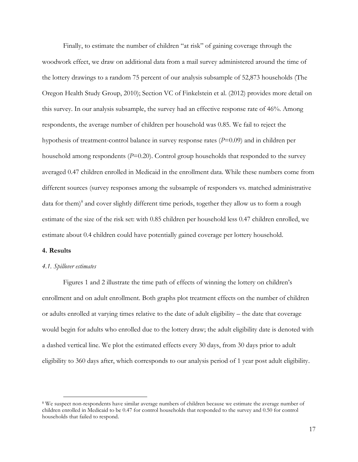Finally, to estimate the number of children "at risk" of gaining coverage through the woodwork effect, we draw on additional data from a mail survey administered around the time of the lottery drawings to a random 75 percent of our analysis subsample of 52,873 households (The Oregon Health Study Group, 2010); Section VC of Finkelstein et al. (2012) provides more detail on this survey. In our analysis subsample, the survey had an effective response rate of 46%. Among respondents, the average number of children per household was 0.85. We fail to reject the hypothesis of treatment-control balance in survey response rates (*P*=0.09) and in children per household among respondents (*P*=0.20). Control group households that responded to the survey averaged 0.47 children enrolled in Medicaid in the enrollment data. While these numbers come from different sources (survey responses among the subsample of responders vs. matched administrative data for them)<sup>8</sup> and cover slightly different time periods, together they allow us to form a rough estimate of the size of the risk set: with 0.85 children per household less 0.47 children enrolled, we estimate about 0.4 children could have potentially gained coverage per lottery household.

## <span id="page-16-0"></span>**4. Results**

## *4.1. Spillover estimates*

Figures [1](#page-28-0) and [2](#page-29-0) illustrate the time path of effects of winning the lottery on children's enrollment and on adult enrollment. Both graphs plot treatment effects on the number of children or adults enrolled at varying times relative to the date of adult eligibility – the date that coverage would begin for adults who enrolled due to the lottery draw; the adult eligibility date is denoted with a dashed vertical line. We plot the estimated effects every 30 days, from 30 days prior to adult eligibility to 360 days after, which corresponds to our analysis period of 1 year post adult eligibility.

<sup>8</sup> We suspect non-respondents have similar average numbers of children because we estimate the average number of children enrolled in Medicaid to be 0.47 for control households that responded to the survey and 0.50 for control households that failed to respond.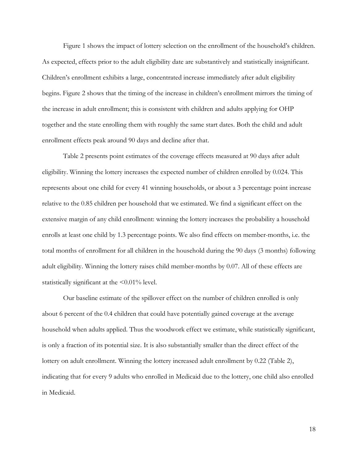[Figure 1](#page-28-0) shows the impact of lottery selection on the enrollment of the household's children. As expected, effects prior to the adult eligibility date are substantively and statistically insignificant. Children's enrollment exhibits a large, concentrated increase immediately after adult eligibility begins. [Figure 2](#page-29-0) shows that the timing of the increase in children's enrollment mirrors the timing of the increase in adult enrollment; this is consistent with children and adults applying for OHP together and the state enrolling them with roughly the same start dates. Both the child and adult enrollment effects peak around 90 days and decline after that.

[Table 2](#page-33-0) presents point estimates of the coverage effects measured at 90 days after adult eligibility. Winning the lottery increases the expected number of children enrolled by 0.024. This represents about one child for every 41 winning households, or about a 3 percentage point increase relative to the 0.85 children per household that we estimated. We find a significant effect on the extensive margin of any child enrollment: winning the lottery increases the probability a household enrolls at least one child by 1.3 percentage points. We also find effects on member-months, i.e. the total months of enrollment for all children in the household during the 90 days (3 months) following adult eligibility. Winning the lottery raises child member-months by 0.07. All of these effects are statistically significant at the <0.01% level.

Our baseline estimate of the spillover effect on the number of children enrolled is only about 6 percent of the 0.4 children that could have potentially gained coverage at the average household when adults applied. Thus the woodwork effect we estimate, while statistically significant, is only a fraction of its potential size. It is also substantially smaller than the direct effect of the lottery on adult enrollment. Winning the lottery increased adult enrollment by 0.22 [\(Table 2\)](#page-33-0), indicating that for every 9 adults who enrolled in Medicaid due to the lottery, one child also enrolled in Medicaid.

18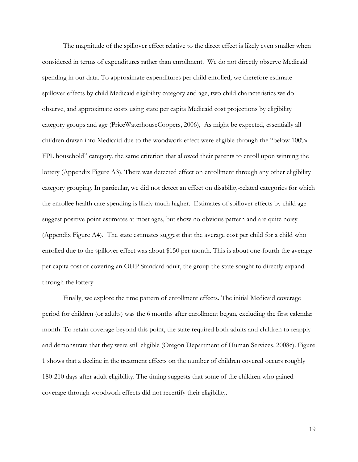The magnitude of the spillover effect relative to the direct effect is likely even smaller when considered in terms of expenditures rather than enrollment. We do not directly observe Medicaid spending in our data. To approximate expenditures per child enrolled, we therefore estimate spillover effects by child Medicaid eligibility category and age, two child characteristics we do observe, and approximate costs using state per capita Medicaid cost projections by eligibility category groups and age (PriceWaterhouseCoopers, 2006), As might be expected, essentially all children drawn into Medicaid due to the woodwork effect were eligible through the "below 100% FPL household" category, the same criterion that allowed their parents to enroll upon winning the lottery [\(Appendix Figure A3\)](#page-46-0). There was detected effect on enrollment through any other eligibility category grouping. In particular, we did not detect an effect on disability-related categories for which the enrollee health care spending is likely much higher. Estimates of spillover effects by child age suggest positive point estimates at most ages, but show no obvious pattern and are quite noisy [\(Appendix Figure A4\)](#page-47-0). The state estimates suggest that the average cost per child for a child who enrolled due to the spillover effect was about \$150 per month. This is about one-fourth the average per capita cost of covering an OHP Standard adult, the group the state sought to directly expand through the lottery.

Finally, we explore the time pattern of enrollment effects. The initial Medicaid coverage period for children (or adults) was the 6 months after enrollment began, excluding the first calendar month. To retain coverage beyond this point, the state required both adults and children to reapply and demonstrate that they were still eligible (Oregon Department of Human Services, 2008c). [Figure](#page-28-0)  [1](#page-28-0) shows that a decline in the treatment effects on the number of children covered occurs roughly 180-210 days after adult eligibility. The timing suggests that some of the children who gained coverage through woodwork effects did not recertify their eligibility.

19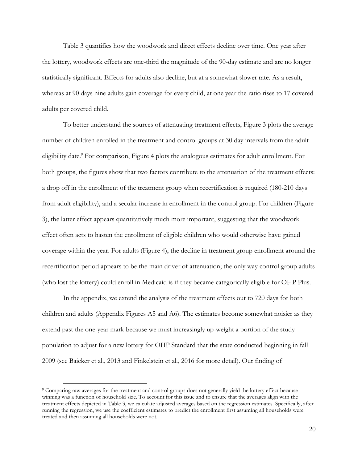[Table 3](#page-34-0) quantifies how the woodwork and direct effects decline over time. One year after the lottery, woodwork effects are one-third the magnitude of the 90-day estimate and are no longer statistically significant. Effects for adults also decline, but at a somewhat slower rate. As a result, whereas at 90 days nine adults gain coverage for every child, at one year the ratio rises to 17 covered adults per covered child.

To better understand the sources of attenuating treatment effects, [Figure 3](#page-30-0) plots the average number of children enrolled in the treatment and control groups at 30 day intervals from the adult eligibility date.<sup>9</sup> For comparison, [Figure 4](#page-31-0) plots the analogous estimates for adult enrollment. For both groups, the figures show that two factors contribute to the attenuation of the treatment effects: a drop off in the enrollment of the treatment group when recertification is required (180-210 days from adult eligibility), and a secular increase in enrollment in the control group. For children [\(Figure](#page-30-0)  [3\)](#page-30-0), the latter effect appears quantitatively much more important, suggesting that the woodwork effect often acts to hasten the enrollment of eligible children who would otherwise have gained coverage within the year. For adults [\(Figure 4\)](#page-31-0), the decline in treatment group enrollment around the recertification period appears to be the main driver of attenuation; the only way control group adults (who lost the lottery) could enroll in Medicaid is if they became categorically eligible for OHP Plus.

In the appendix, we extend the analysis of the treatment effects out to 720 days for both children and adults (Appendix Figures A5 and A6). The estimates become somewhat noisier as they extend past the one-year mark because we must increasingly up-weight a portion of the study population to adjust for a new lottery for OHP Standard that the state conducted beginning in fall 2009 (see Baicker et al., 2013 and Finkelstein et al., 2016 for more detail). Our finding of

<sup>9</sup> Comparing raw averages for the treatment and control groups does not generally yield the lottery effect because winning was a function of household size. To account for this issue and to ensure that the averages align with the treatment effects depicted in [Table 3,](#page-34-0) we calculate adjusted averages based on the regression estimates. Specifically, after running the regression, we use the coefficient estimates to predict the enrollment first assuming all households were treated and then assuming all households were not.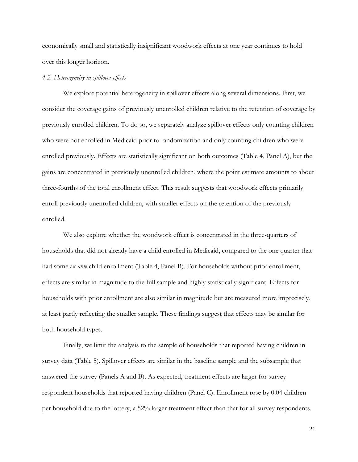economically small and statistically insignificant woodwork effects at one year continues to hold over this longer horizon.

## *4.2. Heterogeneity in spillover effects*

We explore potential heterogeneity in spillover effects along several dimensions. First, we consider the coverage gains of previously unenrolled children relative to the retention of coverage by previously enrolled children. To do so, we separately analyze spillover effects only counting children who were not enrolled in Medicaid prior to randomization and only counting children who were enrolled previously. Effects are statistically significant on both outcomes [\(Table 4,](#page-35-0) Panel A), but the gains are concentrated in previously unenrolled children, where the point estimate amounts to about three-fourths of the total enrollment effect. This result suggests that woodwork effects primarily enroll previously unenrolled children, with smaller effects on the retention of the previously enrolled.

We also explore whether the woodwork effect is concentrated in the three-quarters of households that did not already have a child enrolled in Medicaid, compared to the one quarter that had some *ex ante* child enrollment [\(Table 4,](#page-35-0) Panel B). For households without prior enrollment, effects are similar in magnitude to the full sample and highly statistically significant. Effects for households with prior enrollment are also similar in magnitude but are measured more imprecisely, at least partly reflecting the smaller sample. These findings suggest that effects may be similar for both household types.

Finally, we limit the analysis to the sample of households that reported having children in survey data [\(Table 5\)](#page-36-0). Spillover effects are similar in the baseline sample and the subsample that answered the survey (Panels A and B). As expected, treatment effects are larger for survey respondent households that reported having children (Panel C). Enrollment rose by 0.04 children per household due to the lottery, a 52% larger treatment effect than that for all survey respondents.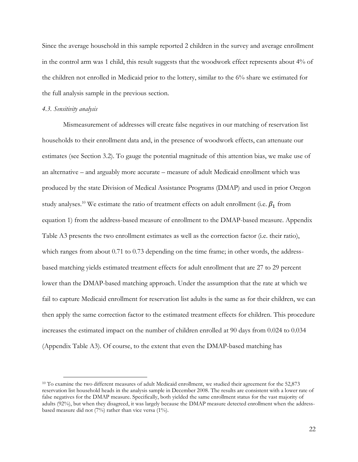Since the average household in this sample reported 2 children in the survey and average enrollment in the control arm was 1 child, this result suggests that the woodwork effect represents about 4% of the children not enrolled in Medicaid prior to the lottery, similar to the 6% share we estimated for the full analysis sample in the previous section.

### <span id="page-21-0"></span>*4.3. Sensitivity analysis*

Mismeasurement of addresses will create false negatives in our matching of reservation list households to their enrollment data and, in the presence of woodwork effects, can attenuate our estimates (see Section 3.2). To gauge the potential magnitude of this attention bias, we make use of an alternative – and arguably more accurate – measure of adult Medicaid enrollment which was produced by the state Division of Medical Assistance Programs (DMAP) and used in prior Oregon study analyses.<sup>10</sup> We estimate the ratio of treatment effects on adult enrollment (i.e.  $\beta_1$  from equation 1) from the address-based measure of enrollment to the DMAP-based measure. Appendix Table A3 presents the two enrollment estimates as well as the correction factor (i.e. their ratio), which ranges from about 0.71 to 0.73 depending on the time frame; in other words, the addressbased matching yields estimated treatment effects for adult enrollment that are 27 to 29 percent lower than the DMAP-based matching approach. Under the assumption that the rate at which we fail to capture Medicaid enrollment for reservation list adults is the same as for their children, we can then apply the same correction factor to the estimated treatment effects for children. This procedure increases the estimated impact on the number of children enrolled at 90 days from 0.024 to 0.034 (Appendix Table A3). Of course, to the extent that even the DMAP-based matching has

<sup>&</sup>lt;sup>10</sup> To examine the two different measures of adult Medicaid enrollment, we studied their agreement for the 52,873 reservation list household heads in the analysis sample in December 2008. The results are consistent with a lower rate of false negatives for the DMAP measure. Specifically, both yielded the same enrollment status for the vast majority of adults (92%), but when they disagreed, it was largely because the DMAP measure detected enrollment when the addressbased measure did not (7%) rather than vice versa (1%).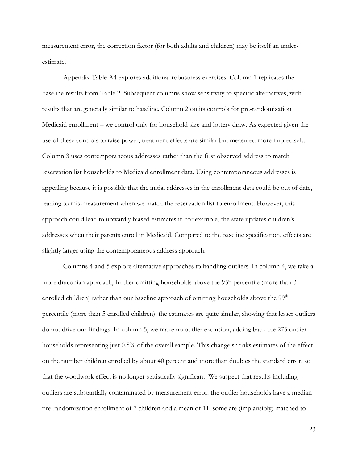measurement error, the correction factor (for both adults and children) may be itself an underestimate.

Appendix Table A4 explores additional robustness exercises. Column 1 replicates the baseline results from [Table 2.](#page-33-0) Subsequent columns show sensitivity to specific alternatives, with results that are generally similar to baseline. Column 2 omits controls for pre-randomization Medicaid enrollment – we control only for household size and lottery draw. As expected given the use of these controls to raise power, treatment effects are similar but measured more imprecisely. Column 3 uses contemporaneous addresses rather than the first observed address to match reservation list households to Medicaid enrollment data. Using contemporaneous addresses is appealing because it is possible that the initial addresses in the enrollment data could be out of date, leading to mis-measurement when we match the reservation list to enrollment. However, this approach could lead to upwardly biased estimates if, for example, the state updates children's addresses when their parents enroll in Medicaid. Compared to the baseline specification, effects are slightly larger using the contemporaneous address approach.

Columns 4 and 5 explore alternative approaches to handling outliers. In column 4, we take a more draconian approach, further omitting households above the  $95<sup>th</sup>$  percentile (more than 3 enrolled children) rather than our baseline approach of omitting households above the 99<sup>th</sup> percentile (more than 5 enrolled children); the estimates are quite similar, showing that lesser outliers do not drive our findings. In column 5, we make no outlier exclusion, adding back the 275 outlier households representing just 0.5% of the overall sample. This change shrinks estimates of the effect on the number children enrolled by about 40 percent and more than doubles the standard error, so that the woodwork effect is no longer statistically significant. We suspect that results including outliers are substantially contaminated by measurement error: the outlier households have a median pre-randomization enrollment of 7 children and a mean of 11; some are (implausibly) matched to

23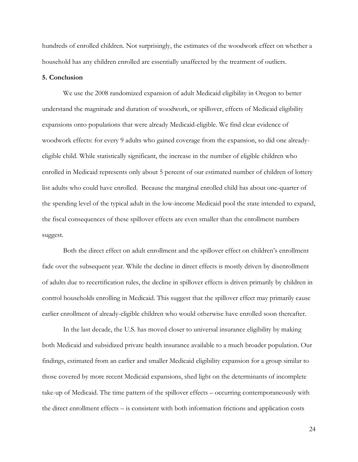hundreds of enrolled children. Not surprisingly, the estimates of the woodwork effect on whether a household has any children enrolled are essentially unaffected by the treatment of outliers.

## **5. Conclusion**

We use the 2008 randomized expansion of adult Medicaid eligibility in Oregon to better understand the magnitude and duration of woodwork, or spillover, effects of Medicaid eligibility expansions onto populations that were already Medicaid-eligible. We find clear evidence of woodwork effects: for every 9 adults who gained coverage from the expansion, so did one alreadyeligible child. While statistically significant, the increase in the number of eligible children who enrolled in Medicaid represents only about 5 percent of our estimated number of children of lottery list adults who could have enrolled. Because the marginal enrolled child has about one-quarter of the spending level of the typical adult in the low-income Medicaid pool the state intended to expand, the fiscal consequences of these spillover effects are even smaller than the enrollment numbers suggest.

Both the direct effect on adult enrollment and the spillover effect on children's enrollment fade over the subsequent year. While the decline in direct effects is mostly driven by disenrollment of adults due to recertification rules, the decline in spillover effects is driven primarily by children in control households enrolling in Medicaid. This suggest that the spillover effect may primarily cause earlier enrollment of already-eligible children who would otherwise have enrolled soon thereafter.

In the last decade, the U.S. has moved closer to universal insurance eligibility by making both Medicaid and subsidized private health insurance available to a much broader population. Our findings, estimated from an earlier and smaller Medicaid eligibility expansion for a group similar to those covered by more recent Medicaid expansions, shed light on the determinants of incomplete take-up of Medicaid. The time pattern of the spillover effects – occurring contemporaneously with the direct enrollment effects – is consistent with both information frictions and application costs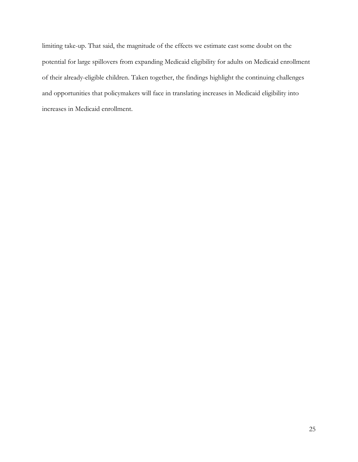limiting take-up. That said, the magnitude of the effects we estimate cast some doubt on the potential for large spillovers from expanding Medicaid eligibility for adults on Medicaid enrollment of their already-eligible children. Taken together, the findings highlight the continuing challenges and opportunities that policymakers will face in translating increases in Medicaid eligibility into increases in Medicaid enrollment.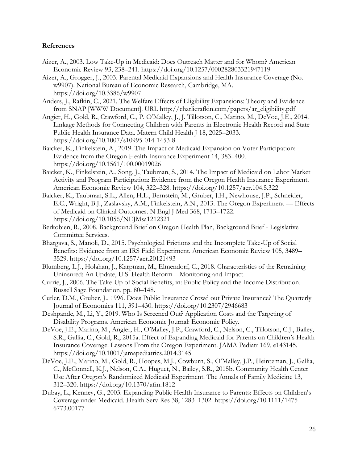# **References**

- Aizer, A., 2003. Low Take-Up in Medicaid: Does Outreach Matter and for Whom? American Economic Review 93, 238–241. https://doi.org/10.1257/000282803321947119
- Aizer, A., Grogger, J., 2003. Parental Medicaid Expansions and Health Insurance Coverage (No. w9907). National Bureau of Economic Research, Cambridge, MA. https://doi.org/10.3386/w9907
- Anders, J., Rafkin, C., 2021. The Welfare Effects of Eligibility Expansions: Theory and Evidence from SNAP [WWW Document]. URL http://charlierafkin.com/papers/ar\_eligibility.pdf
- Angier, H., Gold, R., Crawford, C., P. O'Malley, J., J. Tillotson, C., Marino, M., DeVoe, J.E., 2014. Linkage Methods for Connecting Children with Parents in Electronic Health Record and State Public Health Insurance Data. Matern Child Health J 18, 2025–2033. https://doi.org/10.1007/s10995-014-1453-8
- Baicker, K., Finkelstein, A., 2019. The Impact of Medicaid Expansion on Voter Participation: Evidence from the Oregon Health Insurance Experiment 14, 383–400. https://doi.org/10.1561/100.00019026
- Baicker, K., Finkelstein, A., Song, J., Taubman, S., 2014. The Impact of Medicaid on Labor Market Activity and Program Participation: Evidence from the Oregon Health Insurance Experiment. American Economic Review 104, 322–328. https://doi.org/10.1257/aer.104.5.322
- Baicker, K., Taubman, S.L., Allen, H.L., Bernstein, M., Gruber, J.H., Newhouse, J.P., Schneider, E.C., Wright, B.J., Zaslavsky, A.M., Finkelstein, A.N., 2013. The Oregon Experiment — Effects of Medicaid on Clinical Outcomes. N Engl J Med 368, 1713–1722. https://doi.org/10.1056/NEJMsa1212321
- Berkobien, R., 2008. Background Brief on Oregon Health Plan, Background Brief Legislative Committee Services.
- Bhargava, S., Manoli, D., 2015. Psychological Frictions and the Incomplete Take-Up of Social Benefits: Evidence from an IRS Field Experiment. American Economic Review 105, 3489– 3529. https://doi.org/10.1257/aer.20121493
- Blumberg, L.J., Holahan, J., Karpman, M., Elmendorf, C., 2018. Characteristics of the Remaining Uninsured: An Update, U.S. Health Reform—Monitoring and Impact.
- Currie, J., 2006. The Take-Up of Social Benefits, in: Public Policy and the Income Distribution. Russell Sage Foundation, pp. 80–148.
- Cutler, D.M., Gruber, J., 1996. Does Public Insurance Crowd out Private Insurance? The Quarterly Journal of Economics 111, 391–430. https://doi.org/10.2307/2946683
- Deshpande, M., Li, Y., 2019. Who Is Screened Out? Application Costs and the Targeting of Disability Programs. American Economic Journal: Economic Policy.
- DeVoe, J.E., Marino, M., Angier, H., O'Malley, J.P., Crawford, C., Nelson, C., Tillotson, C.J., Bailey, S.R., Gallia, C., Gold, R., 2015a. Effect of Expanding Medicaid for Parents on Children's Health Insurance Coverage: Lessons From the Oregon Experiment. JAMA Pediatr 169, e143145. https://doi.org/10.1001/jamapediatrics.2014.3145
- DeVoe, J.E., Marino, M., Gold, R., Hoopes, M.J., Cowburn, S., O'Malley, J.P., Heintzman, J., Gallia, C., McConnell, K.J., Nelson, C.A., Huguet, N., Bailey, S.R., 2015b. Community Health Center Use After Oregon's Randomized Medicaid Experiment. The Annals of Family Medicine 13, 312–320. https://doi.org/10.1370/afm.1812
- Dubay, L., Kenney, G., 2003. Expanding Public Health Insurance to Parents: Effects on Children's Coverage under Medicaid. Health Serv Res 38, 1283–1302. https://doi.org/10.1111/1475- 6773.00177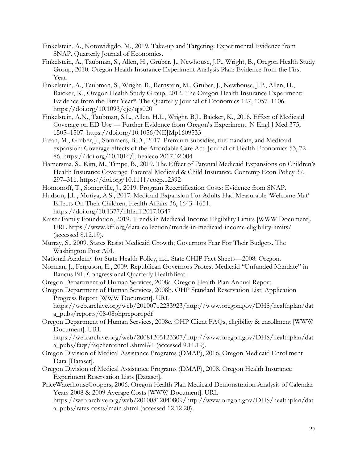- Finkelstein, A., Notowidigdo, M., 2019. Take-up and Targeting: Experimental Evidence from SNAP. Quarterly Journal of Economics.
- Finkelstein, A., Taubman, S., Allen, H., Gruber, J., Newhouse, J.P., Wright, B., Oregon Health Study Group, 2010. Oregon Health Insurance Experiment Analysis Plan: Evidence from the First Year.
- Finkelstein, A., Taubman, S., Wright, B., Bernstein, M., Gruber, J., Newhouse, J.P., Allen, H., Baicker, K., Oregon Health Study Group, 2012. The Oregon Health Insurance Experiment: Evidence from the First Year\*. The Quarterly Journal of Economics 127, 1057–1106. https://doi.org/10.1093/qje/qjs020
- Finkelstein, A.N., Taubman, S.L., Allen, H.L., Wright, B.J., Baicker, K., 2016. Effect of Medicaid Coverage on ED Use — Further Evidence from Oregon's Experiment. N Engl J Med 375, 1505–1507. https://doi.org/10.1056/NEJMp1609533
- Frean, M., Gruber, J., Sommers, B.D., 2017. Premium subsidies, the mandate, and Medicaid expansion: Coverage effects of the Affordable Care Act. Journal of Health Economics 53, 72– 86. https://doi.org/10.1016/j.jhealeco.2017.02.004
- Hamersma, S., Kim, M., Timpe, B., 2019. The Effect of Parental Medicaid Expansions on Children's Health Insurance Coverage: Parental Medicaid & Child Insurance. Contemp Econ Policy 37, 297–311. https://doi.org/10.1111/coep.12392
- Homonoff, T., Somerville, J., 2019. Program Recertification Costs: Evidence from SNAP.
- Hudson, J.L., Moriya, A.S., 2017. Medicaid Expansion For Adults Had Measurable 'Welcome Mat' Effects On Their Children. Health Affairs 36, 1643–1651. https://doi.org/10.1377/hlthaff.2017.0347
- Kaiser Family Foundation, 2019. Trends in Medicaid Income Eligibility Limits [WWW Document]. URL https://www.kff.org/data-collection/trends-in-medicaid-income-eligibility-limits/ (accessed 8.12.19).
- Murray, S., 2009. States Resist Medicaid Growth; Governors Fear For Their Budgets. The Washington Post A01.
- National Academy for State Health Policy, n.d. State CHIP Fact Sheets—2008: Oregon.
- Norman, J., Ferguson, E., 2009. Republican Governors Protest Medicaid "Unfunded Mandate" in Baucus Bill. Congressional Quarterly HealthBeat.
- Oregon Department of Human Services, 2008a. Oregon Health Plan Annual Report.
- Oregon Department of Human Services, 2008b. OHP Standard Reservation List: Application Progress Report [WWW Document]. URL

https://web.archive.org/web/20100712233923/http://www.oregon.gov/DHS/healthplan/dat a\_pubs/reports/08-08ohpreport.pdf

Oregon Department of Human Services, 2008c. OHP Client FAQs, eligibility & enrollment [WWW Document]. URL

https://web.archive.org/web/20081205123307/http://www.oregon.gov/DHS/healthplan/dat a\_pubs/faqs/faqclientenroll.shtml#1 (accessed 9.11.19).

- Oregon Division of Medical Assistance Programs (DMAP), 2016. Oregon Medicaid Enrollment Data [Dataset].
- Oregon Division of Medical Assistance Programs (DMAP), 2008. Oregon Health Insurance Experiment Reservation Lists [Dataset].
- PriceWaterhouseCoopers, 2006. Oregon Health Plan Medicaid Demonstration Analysis of Calendar Years 2008 & 2009 Average Costs [WWW Document]. URL

https://web.archive.org/web/20100812040809/http://www.oregon.gov/DHS/healthplan/dat a\_pubs/rates-costs/main.shtml (accessed 12.12.20).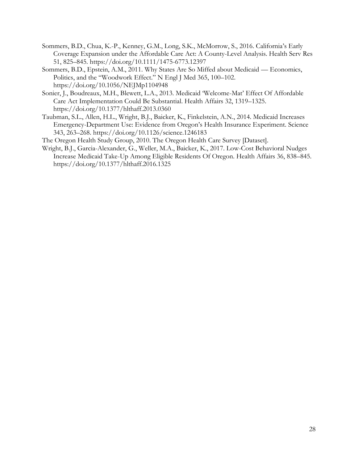- Sommers, B.D., Chua, K.-P., Kenney, G.M., Long, S.K., McMorrow, S., 2016. California's Early Coverage Expansion under the Affordable Care Act: A County-Level Analysis. Health Serv Res 51, 825–845. https://doi.org/10.1111/1475-6773.12397
- Sommers, B.D., Epstein, A.M., 2011. Why States Are So Miffed about Medicaid Economics, Politics, and the "Woodwork Effect." N Engl J Med 365, 100–102. https://doi.org/10.1056/NEJMp1104948
- Sonier, J., Boudreaux, M.H., Blewett, L.A., 2013. Medicaid 'Welcome-Mat' Effect Of Affordable Care Act Implementation Could Be Substantial. Health Affairs 32, 1319–1325. https://doi.org/10.1377/hlthaff.2013.0360
- Taubman, S.L., Allen, H.L., Wright, B.J., Baicker, K., Finkelstein, A.N., 2014. Medicaid Increases Emergency-Department Use: Evidence from Oregon's Health Insurance Experiment. Science 343, 263–268. https://doi.org/10.1126/science.1246183
- The Oregon Health Study Group, 2010. The Oregon Health Care Survey [Dataset].
- Wright, B.J., Garcia-Alexander, G., Weller, M.A., Baicker, K., 2017. Low-Cost Behavioral Nudges Increase Medicaid Take-Up Among Eligible Residents Of Oregon. Health Affairs 36, 838–845. https://doi.org/10.1377/hlthaff.2016.1325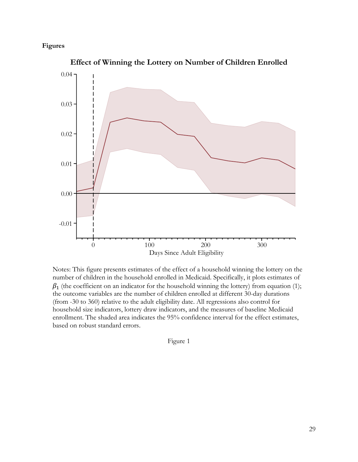# **Figures**



**Effect of Winning the Lottery on Number of Children Enrolled**

<span id="page-28-0"></span>Notes: This figure presents estimates of the effect of a household winning the lottery on the number of children in the household enrolled in Medicaid. Specifically, it plots estimates of  $\beta_1$  (the coefficient on an indicator for the household winning the lottery) from equation (1); the outcome variables are the number of children enrolled at different 30-day durations (from -30 to 360) relative to the adult eligibility date. All regressions also control for household size indicators, lottery draw indicators, and the measures of baseline Medicaid enrollment. The shaded area indicates the 95% confidence interval for the effect estimates, based on robust standard errors.

Figure 1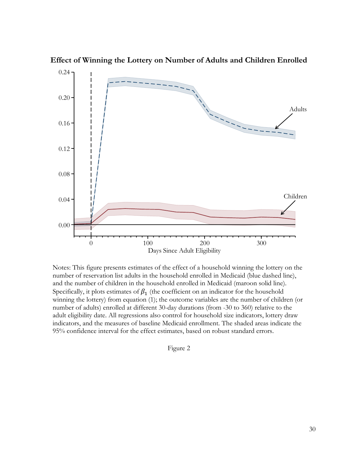

**Effect of Winning the Lottery on Number of Adults and Children Enrolled**

<span id="page-29-0"></span>Notes: This figure presents estimates of the effect of a household winning the lottery on the number of reservation list adults in the household enrolled in Medicaid (blue dashed line), and the number of children in the household enrolled in Medicaid (maroon solid line). Specifically, it plots estimates of  $\beta_1$  (the coefficient on an indicator for the household winning the lottery) from equation (1); the outcome variables are the number of children (or number of adults) enrolled at different 30-day durations (from -30 to 360) relative to the adult eligibility date. All regressions also control for household size indicators, lottery draw indicators, and the measures of baseline Medicaid enrollment. The shaded areas indicate the 95% confidence interval for the effect estimates, based on robust standard errors.

### Figure 2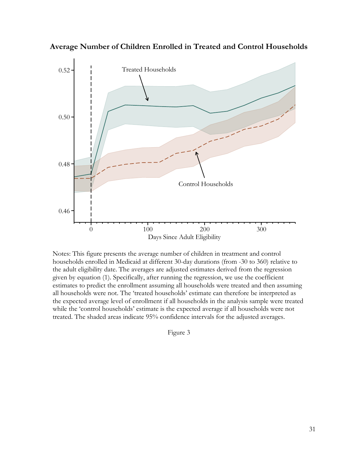

**Average Number of Children Enrolled in Treated and Control Households**

<span id="page-30-0"></span>Notes: This figure presents the average number of children in treatment and control households enrolled in Medicaid at different 30-day durations (from -30 to 360) relative to the adult eligibility date. The averages are adjusted estimates derived from the regression given by equation (1). Specifically, after running the regression, we use the coefficient estimates to predict the enrollment assuming all households were treated and then assuming all households were not. The 'treated households' estimate can therefore be interpreted as the expected average level of enrollment if all households in the analysis sample were treated while the 'control households' estimate is the expected average if all households were not treated. The shaded areas indicate 95% confidence intervals for the adjusted averages.

Figure 3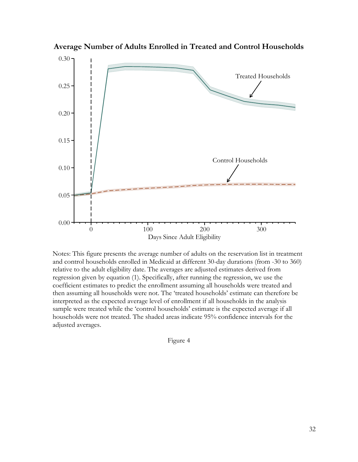

**Average Number of Adults Enrolled in Treated and Control Households**

<span id="page-31-0"></span>Notes: This figure presents the average number of adults on the reservation list in treatment and control households enrolled in Medicaid at different 30-day durations (from -30 to 360) relative to the adult eligibility date. The averages are adjusted estimates derived from regression given by equation (1). Specifically, after running the regression, we use the coefficient estimates to predict the enrollment assuming all households were treated and then assuming all households were not. The 'treated households' estimate can therefore be interpreted as the expected average level of enrollment if all households in the analysis sample were treated while the 'control households' estimate is the expected average if all households were not treated. The shaded areas indicate 95% confidence intervals for the adjusted averages.

Figure 4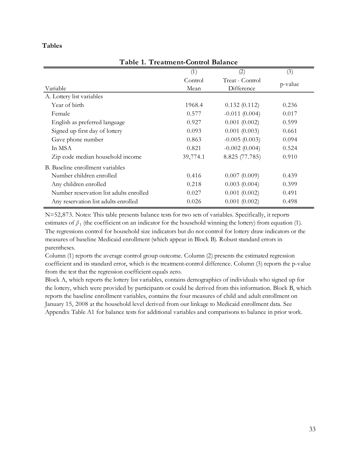## **Tables**

| (1)      | (2)             | (3)     |
|----------|-----------------|---------|
| Control  | Treat - Control |         |
| Mean     | Difference      | p-value |
|          |                 |         |
| 1968.4   | 0.132(0.112)    | 0.236   |
| 0.577    | $-0.011(0.004)$ | 0.017   |
| 0.927    | 0.001(0.002)    | 0.599   |
| 0.093    | 0.001(0.003)    | 0.661   |
| 0.863    | $-0.005(0.003)$ | 0.094   |
| 0.821    | $-0.002(0.004)$ | 0.524   |
| 39,774.1 | 8.825 (77.785)  | 0.910   |
|          |                 |         |
| 0.416    | 0.007(0.009)    | 0.439   |
| 0.218    | 0.003(0.004)    | 0.399   |
| 0.027    | 0.001(0.002)    | 0.491   |
| 0.026    | 0.001(0.002)    | 0.498   |
|          |                 |         |

**Table 1. Treatment-Control Balance**

N=52,873. Notes: This table presents balance tests for two sets of variables. Specifically, it reports estimates of  $\beta_1$  (the coefficient on an indicator for the household winning the lottery) from equation (1). The regressions control for household size indicators but do not control for lottery draw indicators or the measures of baseline Medicaid enrollment (which appear in Block B). Robust standard errors in parentheses.

Column (1) reports the average control group outcome. Column (2) presents the estimated regression coefficient and its standard error, which is the treatment-control difference. Column (3) reports the p-value from the test that the regression coefficient equals zero.

<span id="page-32-0"></span>Block A, which reports the lottery list variables, contains demographics of individuals who signed up for the lottery, which were provided by participants or could be derived from this information. Block B, which reports the baseline enrollment variables, contains the four measures of child and adult enrollment on January 15, 2008 at the household level derived from our linkage to Medicaid enrollment data. See Appendix Table A1 for balance tests for additional variables and comparisons to balance in prior work.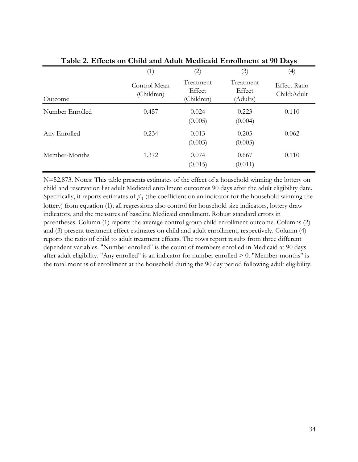| Table 2. Effects on United and Adult Medicald Enrolment at 90 Days |                            |                                   |                                 |                                    |  |  |  |
|--------------------------------------------------------------------|----------------------------|-----------------------------------|---------------------------------|------------------------------------|--|--|--|
|                                                                    | (1)                        | $\left( 2\right)$                 | (3)                             | (4)                                |  |  |  |
| Outcome                                                            | Control Mean<br>(Children) | Treatment<br>Effect<br>(Children) | Treatment<br>Effect<br>(Adults) | <b>Effect Ratio</b><br>Child:Adult |  |  |  |
| Number Enrolled                                                    | 0.457                      | 0.024<br>(0.005)                  | 0.223<br>(0.004)                | 0.110                              |  |  |  |
| Any Enrolled                                                       | 0.234                      | 0.013<br>(0.003)                  | 0.205<br>(0.003)                | 0.062                              |  |  |  |
| Member-Months                                                      | 1.372                      | 0.074<br>(0.015)                  | 0.667<br>(0.011)                | 0.110                              |  |  |  |

**Table 2. Effects on Child and Adult Medicaid Enrollment at 90 Days**

<span id="page-33-0"></span>N=52,873. Notes: This table presents estimates of the effect of a household winning the lottery on child and reservation list adult Medicaid enrollment outcomes 90 days after the adult eligibility date. Specifically, it reports estimates of  $\beta_1$  (the coefficient on an indicator for the household winning the lottery) from equation (1); all regressions also control for household size indicators, lottery draw indicators, and the measures of baseline Medicaid enrollment. Robust standard errors in parentheses. Column (1) reports the average control group child enrollment outcome. Columns (2) and (3) present treatment effect estimates on child and adult enrollment, respectively. Column (4) reports the ratio of child to adult treatment effects. The rows report results from three different dependent variables. "Number enrolled" is the count of members enrolled in Medicaid at 90 days after adult eligibility. "Any enrolled" is an indicator for number enrolled > 0. "Member-months" is the total months of enrollment at the household during the 90 day period following adult eligibility.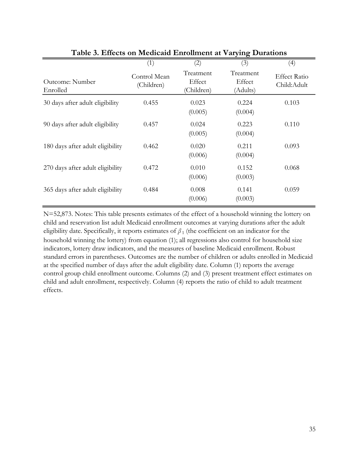|                                  | (1)                        | (2)                               | $\circ$<br>(3)                  | (4)                                |
|----------------------------------|----------------------------|-----------------------------------|---------------------------------|------------------------------------|
| Outcome: Number<br>Enrolled      | Control Mean<br>(Children) | Treatment<br>Effect<br>(Children) | Treatment<br>Effect<br>(Adults) | <b>Effect Ratio</b><br>Child:Adult |
| 30 days after adult eligibility  | 0.455                      | 0.023<br>(0.005)                  | 0.224<br>(0.004)                | 0.103                              |
| 90 days after adult eligibility  | 0.457                      | 0.024<br>(0.005)                  | 0.223<br>(0.004)                | 0.110                              |
| 180 days after adult eligibility | 0.462                      | 0.020<br>(0.006)                  | 0.211<br>(0.004)                | 0.093                              |
| 270 days after adult eligibility | 0.472                      | 0.010<br>(0.006)                  | 0.152<br>(0.003)                | 0.068                              |
| 365 days after adult eligibility | 0.484                      | 0.008<br>(0.006)                  | 0.141<br>(0.003)                | 0.059                              |

**Table 3. Effects on Medicaid Enrollment at Varying Durations**

<span id="page-34-0"></span>N=52,873. Notes: This table presents estimates of the effect of a household winning the lottery on child and reservation list adult Medicaid enrollment outcomes at varying durations after the adult eligibility date. Specifically, it reports estimates of  $\beta_1$  (the coefficient on an indicator for the household winning the lottery) from equation (1); all regressions also control for household size indicators, lottery draw indicators, and the measures of baseline Medicaid enrollment. Robust standard errors in parentheses. Outcomes are the number of children or adults enrolled in Medicaid at the specified number of days after the adult eligibility date. Column (1) reports the average control group child enrollment outcome. Columns (2) and (3) present treatment effect estimates on child and adult enrollment, respectively. Column (4) reports the ratio of child to adult treatment effects.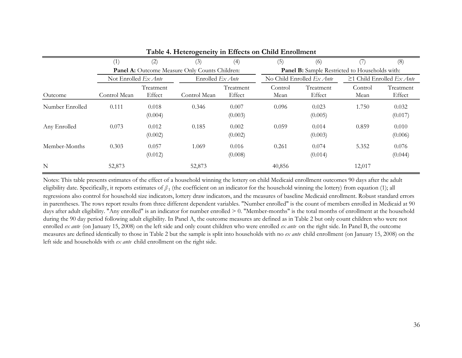|                 | (1)                           | (2)                 | ິ<br>(3)                                       | (4)                 | (5)             | (6)                                                   |                 | (8)                             |  |
|-----------------|-------------------------------|---------------------|------------------------------------------------|---------------------|-----------------|-------------------------------------------------------|-----------------|---------------------------------|--|
|                 |                               |                     | Panel A: Outcome Measure Only Counts Children: |                     |                 | <b>Panel B:</b> Sample Restricted to Households with: |                 |                                 |  |
|                 | Not Enrolled $Ex$ <i>Ante</i> |                     | Enrolled $Ex$ <i>Ante</i>                      |                     |                 | No Child Enrolled $Ex$ <i>Ante</i>                    |                 | $\geq$ 1 Child Enrolled Ex Ante |  |
| Outcome         | Control Mean                  | Treatment<br>Effect | Control Mean                                   | Treatment<br>Effect | Control<br>Mean | Treatment<br>Effect                                   | Control<br>Mean | Treatment<br>Effect             |  |
| Number Enrolled | 0.111                         | 0.018<br>(0.004)    | 0.346                                          | 0.007<br>(0.003)    | 0.096           | 0.023<br>(0.005)                                      | 1.750           | 0.032<br>(0.017)                |  |
| Any Enrolled    | 0.073                         | 0.012<br>(0.002)    | 0.185                                          | 0.002<br>(0.002)    | 0.059           | 0.014<br>(0.003)                                      | 0.859           | 0.010<br>(0.006)                |  |
| Member-Months   | 0.303                         | 0.057<br>(0.012)    | 1.069                                          | 0.016<br>(0.008)    | 0.261           | 0.074<br>(0.014)                                      | 5.352           | 0.076<br>(0.044)                |  |
| N               | 52,873                        |                     | 52,873                                         |                     | 40,856          |                                                       | 12,017          |                                 |  |

# **Table 4. Heterogeneity in Effects on Child Enrollment**

<span id="page-35-0"></span>Notes: This table presents estimates of the effect of a household winning the lottery on child Medicaid enrollment outcomes 90 days after the adult eligibility date. Specifically, it reports estimates of *β* <sup>1</sup> (the coefficient on an indicator for the household winning the lottery) from equation (1); all regressions also control for household size indicators, lottery draw indicators, and the measures of baseline Medicaid enrollment. Robust standard errors in parentheses. The rows report results from three different dependent variables. "Number enrolled" is the count of members enrolled in Medicaid at 90 days after adult eligibility. "Any enrolled" is an indicator for number enrolled  $> 0$ . "Member-months" is the total months of enrollment at the household during the 90 day period following adult eligibility. In Panel A, the outcome measures are defined as in Table 2 but only count children who were not enrolled *ex ante* (on January 15, 2008) on the left side and only count children who were enrolled *ex ante* on the right side. In Panel B, the outcome measures are defined identically to those in Table 2 but the sample is split into households with no *ex ante* child enrollment (on January 15, 2008) on the left side and households with *ex ante* child enrollment on the right side.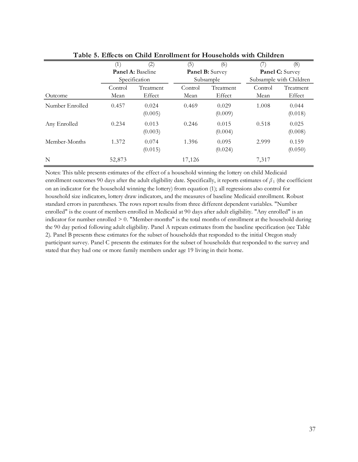|                 | (1)     | (2)               | (5)     | (6)              | (7)     | (8)                     |
|-----------------|---------|-------------------|---------|------------------|---------|-------------------------|
|                 |         | Panel A: Baseline |         | Panel B: Survey  |         | Panel C: Survey         |
|                 |         | Specification     |         | Subsample        |         | Subsample with Children |
|                 | Control | Treatment         | Control | Treatment        | Control | Treatment               |
| Outcome         | Mean    | Effect            | Mean    | Effect           | Mean    | Effect                  |
| Number Enrolled | 0.457   | 0.024<br>(0.005)  | 0.469   | 0.029<br>(0.009) | 1.008   | 0.044<br>(0.018)        |
| Any Enrolled    | 0.234   | 0.013<br>(0.003)  | 0.246   | 0.015<br>(0.004) | 0.518   | 0.025<br>(0.008)        |
| Member-Months   | 1.372   | 0.074<br>(0.015)  | 1.396   | 0.095<br>(0.024) | 2.999   | 0.159<br>(0.050)        |
| N               | 52,873  |                   | 17,126  |                  | 7,317   |                         |

**Table 5. Effects on Child Enrollment for Households with Children**

<span id="page-36-0"></span>Notes: This table presents estimates of the effect of <sup>a</sup> household winning the lottery on child Medicaid enrollment outcomes 90 days after the adult eligibility date. Specifically, it reports estimates of *β* <sup>1</sup> (the coefficient on an indicator for the household winning the lottery) from equation (1); all regressions also control for household size indicators, lottery draw indicators, and the measures of baseline Medicaid enrollment. Robust standard errors in parentheses. The rows report results from three different dependent variables. "Number enrolled" is the count of members enrolled in Medicaid at <sup>90</sup> days after adult eligibility. "Any enrolled" is an indicator for number enrolled  $> 0$ . "Member-months" is the total months of enrollment at the household during the 90 day period following adult eligibility. Panel A repeats estimates from the baseline specification (see Table 2). Panel <sup>B</sup> presents these estimates for the subset of households that responded to the initial Oregon study participant survey. Panel C presents the estimates for the subset of households that responded to the survey and stated that they had one or more family members under age 19 living in their home.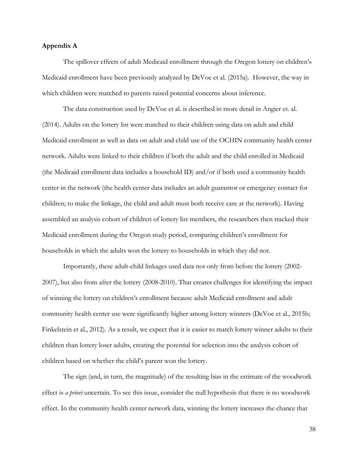## **Appendix A**

The spillover effects of adult Medicaid enrollment through the Oregon lottery on children's Medicaid enrollment have been previously analyzed by DeVoe et al. (2015a). However, the way in which children were matched to parents raised potential concerns about inference.

The data construction used by DeVoe et al. is described in more detail in Angier et. al. (2014). Adults on the lottery list were matched to their children using data on adult and child Medicaid enrollment as well as data on adult and child use of the OCHIN community health center network. Adults were linked to their children if both the adult and the child enrolled in Medicaid (the Medicaid enrollment data includes a household ID) and/or if both used a community health center in the network (the health center data includes an adult guarantor or emergency contact for children; to make the linkage, the child and adult must both receive care at the network). Having assembled an analysis cohort of children of lottery list members, the researchers then tracked their Medicaid enrollment during the Oregon study period, comparing children's enrollment for households in which the adults won the lottery to households in which they did not.

Importantly, these adult-child linkages used data not only from before the lottery (2002- 2007), but also from after the lottery (2008-2010). That creates challenges for identifying the impact of winning the lottery on children's enrollment because adult Medicaid enrollment and adult community health center use were significantly higher among lottery winners (DeVoe et al., 2015b; Finkelstein et al., 2012). As a result, we expect that it is easier to match lottery winner adults to their children than lottery loser adults, creating the potential for selection into the analysis cohort of children based on whether the child's parent won the lottery.

The sign (and, in turn, the magnitude) of the resulting bias in the estimate of the woodwork effect is *a priori* uncertain. To see this issue, consider the null hypothesis that there is no woodwork effect. In the community health center network data, winning the lottery increases the chance that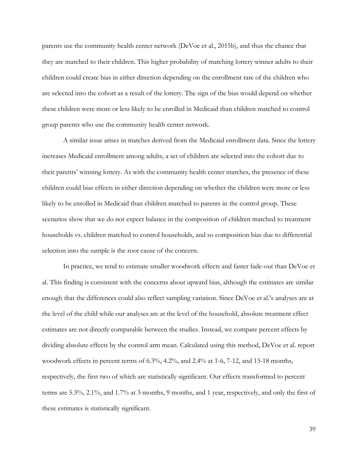parents use the community health center network (DeVoe et al., 2015b), and thus the chance that they are matched to their children. This higher probability of matching lottery winner adults to their children could create bias in either direction depending on the enrollment rate of the children who are selected into the cohort as a result of the lottery. The sign of the bias would depend on whether these children were more or less likely to be enrolled in Medicaid than children matched to control group parents who use the community health center network.

A similar issue arises in matches derived from the Medicaid enrollment data. Since the lottery increases Medicaid enrollment among adults, a set of children are selected into the cohort due to their parents' winning lottery. As with the community health center matches, the presence of these children could bias effects in either direction depending on whether the children were more or less likely to be enrolled in Medicaid than children matched to parents in the control group. These scenarios show that we do not expect balance in the composition of children matched to treatment households vs. children matched to control households, and so composition bias due to differential selection into the sample is the root cause of the concern.

In practice, we tend to estimate smaller woodwork effects and faster fade-out than DeVoe et al. This finding is consistent with the concerns about upward bias, although the estimates are similar enough that the differences could also reflect sampling variation. Since DeVoe et al.'s analyses are at the level of the child while our analyses are at the level of the household, absolute treatment effect estimates are not directly comparable between the studies. Instead, we compare percent effects by dividing absolute effects by the control arm mean. Calculated using this method, DeVoe et al. report woodwork effects in percent terms of 6.3%, 4.2%, and 2.4% at 1-6, 7-12, and 13-18 months, respectively, the first two of which are statistically significant. Our effects transformed to percent terms are 5.3%, 2.1%, and 1.7% at 3 months, 9 months, and 1 year, respectively, and only the first of these estimates is statistically significant.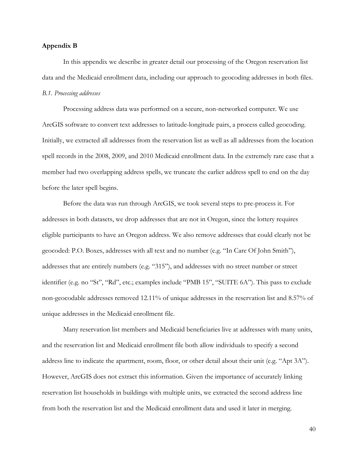## <span id="page-39-0"></span>**Appendix B**

In this appendix we describe in greater detail our processing of the Oregon reservation list data and the Medicaid enrollment data, including our approach to geocoding addresses in both files. *B.1. Processing addresses*

Processing address data was performed on a secure, non-networked computer. We use ArcGIS software to convert text addresses to latitude-longitude pairs, a process called geocoding. Initially, we extracted all addresses from the reservation list as well as all addresses from the location spell records in the 2008, 2009, and 2010 Medicaid enrollment data. In the extremely rare case that a member had two overlapping address spells, we truncate the earlier address spell to end on the day before the later spell begins.

Before the data was run through ArcGIS, we took several steps to pre-process it. For addresses in both datasets, we drop addresses that are not in Oregon, since the lottery requires eligible participants to have an Oregon address. We also remove addresses that could clearly not be geocoded: P.O. Boxes, addresses with all text and no number (e.g. "In Care Of John Smith"), addresses that are entirely numbers (e.g. "315"), and addresses with no street number or street identifier (e.g. no "St", "Rd", etc.; examples include "PMB 15", "SUITE 6A"). This pass to exclude non-geocodable addresses removed 12.11% of unique addresses in the reservation list and 8.57% of unique addresses in the Medicaid enrollment file.

Many reservation list members and Medicaid beneficiaries live at addresses with many units, and the reservation list and Medicaid enrollment file both allow individuals to specify a second address line to indicate the apartment, room, floor, or other detail about their unit (e.g. "Apt 3A"). However, ArcGIS does not extract this information. Given the importance of accurately linking reservation list households in buildings with multiple units, we extracted the second address line from both the reservation list and the Medicaid enrollment data and used it later in merging.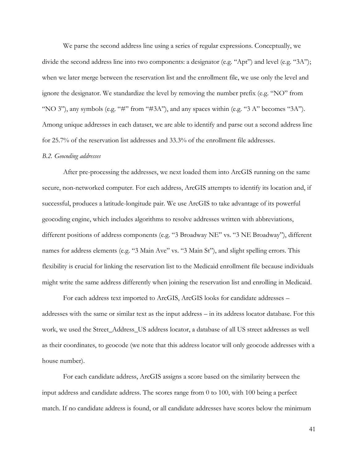We parse the second address line using a series of regular expressions. Conceptually, we divide the second address line into two components: a designator (e.g. "Apt") and level (e.g. "3A"); when we later merge between the reservation list and the enrollment file, we use only the level and ignore the designator. We standardize the level by removing the number prefix (e.g. "NO" from "NO 3"), any symbols (e.g. "#" from "#3A"), and any spaces within (e.g. "3 A" becomes "3A"). Among unique addresses in each dataset, we are able to identify and parse out a second address line for 25.7% of the reservation list addresses and 33.3% of the enrollment file addresses.

### *B.2. Geocoding addresses*

After pre-processing the addresses, we next loaded them into ArcGIS running on the same secure, non-networked computer. For each address, ArcGIS attempts to identify its location and, if successful, produces a latitude-longitude pair. We use ArcGIS to take advantage of its powerful geocoding engine, which includes algorithms to resolve addresses written with abbreviations, different positions of address components (e.g. "3 Broadway NE" vs. "3 NE Broadway"), different names for address elements (e.g. "3 Main Ave" vs. "3 Main St"), and slight spelling errors. This flexibility is crucial for linking the reservation list to the Medicaid enrollment file because individuals might write the same address differently when joining the reservation list and enrolling in Medicaid.

For each address text imported to ArcGIS, ArcGIS looks for candidate addresses – addresses with the same or similar text as the input address – in its address locator database. For this work, we used the Street\_Address\_US address locator, a database of all US street addresses as well as their coordinates, to geocode (we note that this address locator will only geocode addresses with a house number).

For each candidate address, ArcGIS assigns a score based on the similarity between the input address and candidate address. The scores range from 0 to 100, with 100 being a perfect match. If no candidate address is found, or all candidate addresses have scores below the minimum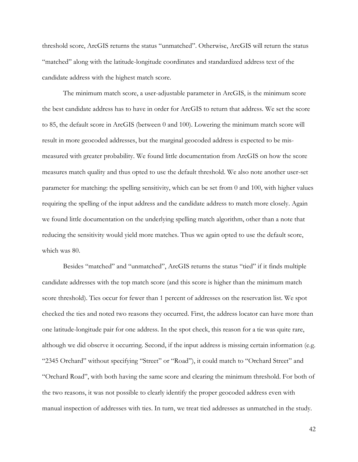threshold score, ArcGIS returns the status "unmatched". Otherwise, ArcGIS will return the status "matched" along with the latitude-longitude coordinates and standardized address text of the candidate address with the highest match score.

The minimum match score, a user-adjustable parameter in ArcGIS, is the minimum score the best candidate address has to have in order for ArcGIS to return that address. We set the score to 85, the default score in ArcGIS (between 0 and 100). Lowering the minimum match score will result in more geocoded addresses, but the marginal geocoded address is expected to be mismeasured with greater probability. We found little documentation from ArcGIS on how the score measures match quality and thus opted to use the default threshold. We also note another user-set parameter for matching: the spelling sensitivity, which can be set from 0 and 100, with higher values requiring the spelling of the input address and the candidate address to match more closely. Again we found little documentation on the underlying spelling match algorithm, other than a note that reducing the sensitivity would yield more matches. Thus we again opted to use the default score, which was 80.

Besides "matched" and "unmatched", ArcGIS returns the status "tied" if it finds multiple candidate addresses with the top match score (and this score is higher than the minimum match score threshold). Ties occur for fewer than 1 percent of addresses on the reservation list. We spot checked the ties and noted two reasons they occurred. First, the address locator can have more than one latitude-longitude pair for one address. In the spot check, this reason for a tie was quite rare, although we did observe it occurring. Second, if the input address is missing certain information (e.g. "2345 Orchard" without specifying "Street" or "Road"), it could match to "Orchard Street" and "Orchard Road", with both having the same score and clearing the minimum threshold. For both of the two reasons, it was not possible to clearly identify the proper geocoded address even with manual inspection of addresses with ties. In turn, we treat tied addresses as unmatched in the study.

42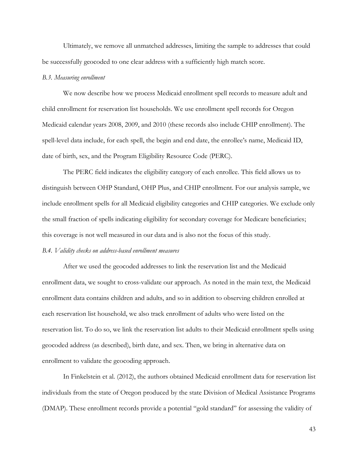Ultimately, we remove all unmatched addresses, limiting the sample to addresses that could be successfully geocoded to one clear address with a sufficiently high match score.

#### *B.3. Measuring enrollment*

We now describe how we process Medicaid enrollment spell records to measure adult and child enrollment for reservation list households. We use enrollment spell records for Oregon Medicaid calendar years 2008, 2009, and 2010 (these records also include CHIP enrollment). The spell-level data include, for each spell, the begin and end date, the enrollee's name, Medicaid ID, date of birth, sex, and the Program Eligibility Resource Code (PERC).

The PERC field indicates the eligibility category of each enrollee. This field allows us to distinguish between OHP Standard, OHP Plus, and CHIP enrollment. For our analysis sample, we include enrollment spells for all Medicaid eligibility categories and CHIP categories. We exclude only the small fraction of spells indicating eligibility for secondary coverage for Medicare beneficiaries; this coverage is not well measured in our data and is also not the focus of this study.

## *B.4. Validity checks on address-based enrollment measures*

After we used the geocoded addresses to link the reservation list and the Medicaid enrollment data, we sought to cross-validate our approach. As noted in the main text, the Medicaid enrollment data contains children and adults, and so in addition to observing children enrolled at each reservation list household, we also track enrollment of adults who were listed on the reservation list. To do so, we link the reservation list adults to their Medicaid enrollment spells using geocoded address (as described), birth date, and sex. Then, we bring in alternative data on enrollment to validate the geocoding approach.

In Finkelstein et al. (2012), the authors obtained Medicaid enrollment data for reservation list individuals from the state of Oregon produced by the state Division of Medical Assistance Programs (DMAP). These enrollment records provide a potential "gold standard" for assessing the validity of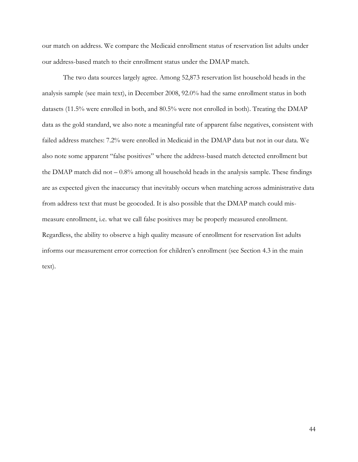our match on address. We compare the Medicaid enrollment status of reservation list adults under our address-based match to their enrollment status under the DMAP match.

The two data sources largely agree. Among 52,873 reservation list household heads in the analysis sample (see main text), in December 2008, 92.0% had the same enrollment status in both datasets (11.5% were enrolled in both, and 80.5% were not enrolled in both). Treating the DMAP data as the gold standard, we also note a meaningful rate of apparent false negatives, consistent with failed address matches: 7.2% were enrolled in Medicaid in the DMAP data but not in our data. We also note some apparent "false positives" where the address-based match detected enrollment but the DMAP match did not  $-0.8\%$  among all household heads in the analysis sample. These findings are as expected given the inaccuracy that inevitably occurs when matching across administrative data from address text that must be geocoded. It is also possible that the DMAP match could mismeasure enrollment, i.e. what we call false positives may be properly measured enrollment. Regardless, the ability to observe a high quality measure of enrollment for reservation list adults informs our measurement error correction for children's enrollment (see Section [4.3](#page-21-0) in the main text).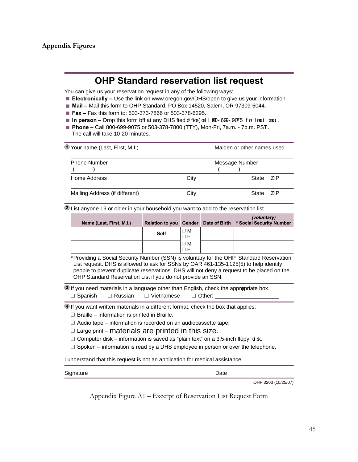# **OHP Standard reservation list request**

You can give us your reservation request in any of the following ways:

- **Electronically –** Use the link on www.oregon.gov/DHS/open to give us your information.
- **Mail –** Mail this form to OHP Standard, PO Box 14520, Salem, OR 97309-5044.
- **Fax –** Fax this form to: 503-373-7866 or 503-378-6295.
- **In person –** Drop this form biff at any DHS fied of fice(cal I 800-699-9075 for locations).
- **Phone –** Call 800-699-9075 or 503-378-7800 (TTY), Mon-Fri, 7a.m. 7p.m. PST. The call will take 10-20 minutes.

| $\widehat{\mathbb{D}}$ Your name (Last, First, M.I.) |                | Maiden or other names used |      |  |  |
|------------------------------------------------------|----------------|----------------------------|------|--|--|
| <b>Phone Number</b>                                  | Message Number |                            |      |  |  |
| Home Address                                         | City           | State ZIP                  |      |  |  |
| Mailing Address (if different)                       | City           | State                      | -71P |  |  |

**<sup>2</sup>** List anyone 19 or older in your household you want to add to the reservation list.

| Name (Last, First, M.I.) | <b>Relation to you Gender</b> |                         | Date of Birth | (voluntary)<br>* Social Security Number |
|--------------------------|-------------------------------|-------------------------|---------------|-----------------------------------------|
|                          | <b>Self</b>                   | $\square$ M<br>$\Box$ F |               |                                         |
|                          |                               | $\square$ M             |               |                                         |

\*Providing a Social Security Number (SSN) is voluntary for the OHP Standard Reservation List request. DHS is allowed to ask for SSNs by OAR 461-135-1125(5) to help identify people to prevent duplicate reservations. DHS will not deny a request to be placed on the OHP Standard Reservation List if you do not provide an SSN.

**3** If you need materials in a language other than English, check the appropriate box.  $\square$  Spanish  $\square$  Russian  $\square$  Vietnamese  $\square$  Other:

**<sup>4</sup>** If you want written materials in a different format, check the box that applies:

 $\Box$  Braille – information is printed in Braille.

 $\Box$  Audio tape – information is recorded on an audiocassette tape.

 $\Box$  Large print – materials are printed in this size.

 $\Box$  Computer disk – information is saved as "plain text" on a 3.5-inch flopy  $\, {\sf d} \, {\sf sk}. \,$ 

 $\square$  Spoken – information is read by a DHS employee in person or over the telephone.

I understand that this request is not an application for medical assistance.

<span id="page-44-0"></span>

| Signature | Date |                     |
|-----------|------|---------------------|
|           |      | OHP 3203 (10/25/07) |

Appendix Figure A1 – Excerpt of Reservation List Request Form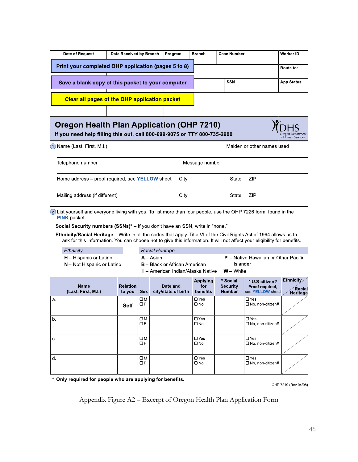| Date of Request                                                                                                                                                        | Date Received by Branch                              | Program | <b>Branch</b> | <b>Case Number</b> | <b>Worker ID</b>  |  |
|------------------------------------------------------------------------------------------------------------------------------------------------------------------------|------------------------------------------------------|---------|---------------|--------------------|-------------------|--|
|                                                                                                                                                                        | Print your completed OHP application (pages 5 to 8)  |         |               |                    | Route to:         |  |
|                                                                                                                                                                        | Save a blank copy of this packet to your computer    |         |               | <b>SSN</b>         | <b>App Status</b> |  |
|                                                                                                                                                                        | <b>Clear all pages of the OHP application packet</b> |         |               |                    |                   |  |
|                                                                                                                                                                        |                                                      |         |               |                    |                   |  |
| <b>Oregon Health Plan Application (OHP 7210)</b><br>If you need help filling this out, call 800-699-9075 or TTY 800-735-2900<br>Oregon Department<br>of Human Services |                                                      |         |               |                    |                   |  |

1 Name (Last, First, M.I.)

Maiden or other names used

| Telephone number                                       | Message number |       |       |
|--------------------------------------------------------|----------------|-------|-------|
| Home address – proof required, see <b>YELLOW</b> sheet | City           | State | - ZIP |
| Mailing address (if different)                         | City           | State | - ZIP |

2) List yourself and everyone living with you. To list more than four people, use the OHP 7226 form, found in the **PINK** packet

Social Security numbers (SSNs)\* - If you don't have an SSN, write in "none."

Ethnicity/Racial Heritage - Write in all the codes that apply. Title VI of the Civil Rights Act of 1964 allows us to ask for this information. You can choose not to give this information. It will not affect your eligibility for benefits.

| <b>Ethnicity</b>              | Racial Heritage                      |                                             |
|-------------------------------|--------------------------------------|---------------------------------------------|
| <b>H</b> – Hispanic or Latino | A - Asian                            | <b>P</b> – Native Hawaiian or Other Pacific |
| N – Not Hispanic or Latino    | <b>B</b> – Black or African American | <b>Islander</b>                             |
|                               | I – American Indian/Alaska Native    | <b>W</b> – White                            |

|    | <b>Name</b><br>(Last, First, MI) | <b>Relation</b><br>to you | <b>Sex</b>              | Date and<br>city/state of birth | Applying<br>for<br>benefits | * Social<br><b>Security</b><br><b>Number</b> | * U S citizen?<br>Proof required,<br>see YELLOW sheet | Ethnicity<br><b>Racial</b><br>Heritage |
|----|----------------------------------|---------------------------|-------------------------|---------------------------------|-----------------------------|----------------------------------------------|-------------------------------------------------------|----------------------------------------|
| а. |                                  | Self                      | OМ<br>OF                |                                 | $\Box$ Yes<br>$\square$ No  |                                              | $\Box$ Yes<br>$\Box$ No, non-citizen#                 |                                        |
| b. |                                  |                           | $\square M$<br>OF       |                                 | $\Box$ Yes<br>$\square$ No  |                                              | $\Box$ Yes<br>$\Box$ No, non-citizen#                 |                                        |
| С. |                                  |                           | $\square M$<br>OF       |                                 | $\Box$ Yes<br>$\square$ No  |                                              | $\Box$ Yes<br>$\Box$ No, non-citizen#                 |                                        |
| d. |                                  |                           | $\square M$<br>$\Box F$ |                                 | $\Box$ Yes<br>$\square$ No  |                                              | $\Box$ Yes<br>$\Box$ No, non-citizen#                 |                                        |

<span id="page-45-0"></span>\* Only required for people who are applying for benefits.

OHP 7210 (Rev 04/08)

Appendix Figure A2 – Excerpt of Oregon Health Plan Application Form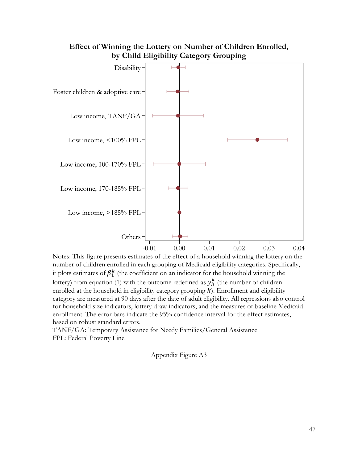

# **Effect of Winning the Lottery on Number of Children Enrolled, by Child Eligibility Category Grouping**

Notes: This figure presents estimates of the effect of a household winning the lottery on the number of children enrolled in each grouping of Medicaid eligibility categories. Specifically, it plots estimates of  $\beta_1^k$  (the coefficient on an indicator for the household winning the lottery) from equation (1) with the outcome redefined as  $y_h^k$  (the number of children enrolled at the household in eligibility category grouping  $k$ ). Enrollment and eligibility category are measured at 90 days after the date of adult eligibility. All regressions also control for household size indicators, lottery draw indicators, and the measures of baseline Medicaid enrollment. The error bars indicate the 95% confidence interval for the effect estimates, based on robust standard errors.

<span id="page-46-0"></span>TANF/GA: Temporary Assistance for Needy Families/General Assistance FPL: Federal Poverty Line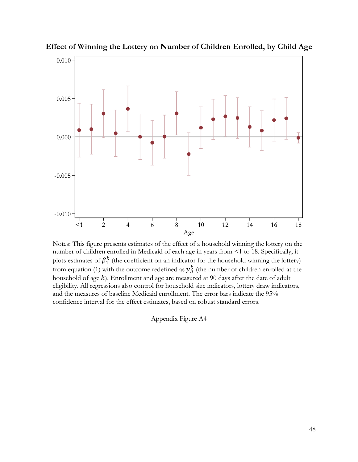

**Effect of Winning the Lottery on Number of Children Enrolled, by Child Age**

<span id="page-47-0"></span>Notes: This figure presents estimates of the effect of a household winning the lottery on the number of children enrolled in Medicaid of each age in years from <1 to 18. Specifically, it plots estimates of  $\beta_1^k$  (the coefficient on an indicator for the household winning the lottery) from equation (1) with the outcome redefined as  $y_h^k$  (the number of children enrolled at the household of age  $k$ ). Enrollment and age are measured at 90 days after the date of adult eligibility. All regressions also control for household size indicators, lottery draw indicators, and the measures of baseline Medicaid enrollment. The error bars indicate the 95% confidence interval for the effect estimates, based on robust standard errors.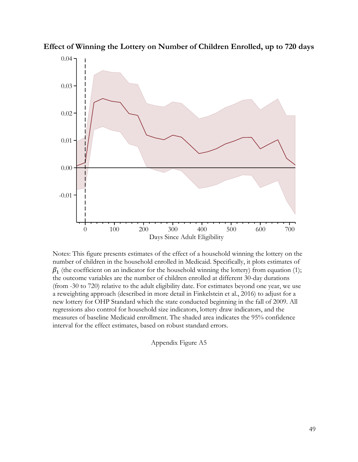

**Effect of Winning the Lottery on Number of Children Enrolled, up to 720 days**

Notes: This figure presents estimates of the effect of a household winning the lottery on the number of children in the household enrolled in Medicaid. Specifically, it plots estimates of  $\beta_1$  (the coefficient on an indicator for the household winning the lottery) from equation (1); the outcome variables are the number of children enrolled at different 30-day durations (from -30 to 720) relative to the adult eligibility date. For estimates beyond one year, we use a reweighting approach (described in more detail in Finkelstein et al., 2016) to adjust for a new lottery for OHP Standard which the state conducted beginning in the fall of 2009. All regressions also control for household size indicators, lottery draw indicators, and the measures of baseline Medicaid enrollment. The shaded area indicates the 95% confidence interval for the effect estimates, based on robust standard errors.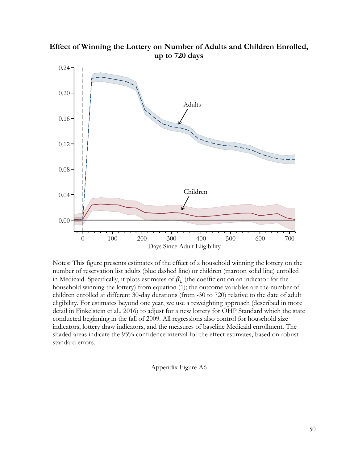

**Effect of Winning the Lottery on Number of Adults and Children Enrolled, up to 720 days**

Notes: This figure presents estimates of the effect of a household winning the lottery on the number of reservation list adults (blue dashed line) or children (maroon solid line) enrolled in Medicaid. Specifically, it plots estimates of  $\beta_1$  (the coefficient on an indicator for the household winning the lottery) from equation (1); the outcome variables are the number of children enrolled at different 30-day durations (from -30 to 720) relative to the date of adult eligibility. For estimates beyond one year, we use a reweighting approach (described in more detail in Finkelstein et al., 2016) to adjust for a new lottery for OHP Standard which the state conducted beginning in the fall of 2009. All regressions also control for household size indicators, lottery draw indicators, and the measures of baseline Medicaid enrollment. The shaded areas indicate the 95% confidence interval for the effect estimates, based on robust standard errors.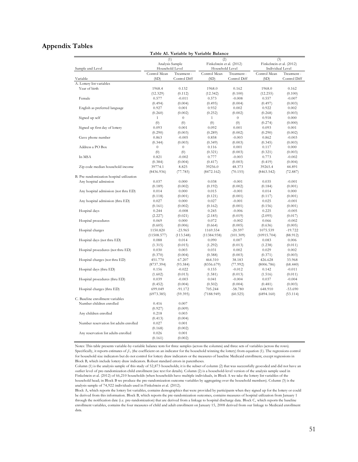## **Appendix Tables**

|                                           |                 |                  | Table A1. Variable by Variable Balance |              |                           |              |  |
|-------------------------------------------|-----------------|------------------|----------------------------------------|--------------|---------------------------|--------------|--|
|                                           | (1)             |                  | (2)                                    |              | (3)                       |              |  |
|                                           | Analysis Sample |                  | Finkelstein et al. (2012)              |              | Finkelstein et al. (2012) |              |  |
| Sample and Level                          | Household Level |                  | Household Level                        |              | Individual Level          |              |  |
|                                           | Control Mean    | Treatment -      | Control Mean                           | Treatment -  | Control Mean              | Treatment -  |  |
| Variable                                  | (SD)            | Control Diff     | (SD)                                   | Control Diff | (SD)                      | Control Diff |  |
| A. Lottery list variables                 |                 |                  |                                        |              |                           |              |  |
| Year of birth                             | 1968.4          | 0.132            | 1968.0                                 | 0.162        | 1968.0                    | 0.162        |  |
|                                           | (12.329)        | (0.112)          | (12.342)                               | (0.100)      | (12.255)                  | (0.100)      |  |
| Female                                    | 0.577           | $-0.011$         | 0.573                                  | $-0.008$     | 0.557                     | $-0.007$     |  |
|                                           | (0.494)         | (0.004)          | (0.495)                                | (0.004)      | (0.497)                   | (0.003)      |  |
| English as preferred language             | 0.927           | 0.001            | 0.932                                  | 0.002        | 0.922                     | 0.002        |  |
|                                           | (0.260)         | (0.002)          | (0.252)                                | (0.002)      | (0.268)                   | (0.003)      |  |
| Signed up self                            | 1               | $\theta$         | $\mathbf{1}$                           | $\theta$     | 0.918                     | 0.000        |  |
|                                           | (0)             | (0)              | (0)                                    | (0)          | (0.274)                   | (0.000)      |  |
| Signed up first day of lottery            | 0.093           | 0.001            | 0.092                                  | 0.001        | 0.093                     | 0.001        |  |
|                                           | (0.290)         | (0.003)          | (0.289)                                | (0.002)      | (0.290)                   | (0.002)      |  |
| Gave phone number                         | 0.863           | $-0.005$         | 0.858                                  | $-0.003$     | 0.862                     | $-0.003$     |  |
|                                           | (0.344)         | (0.003)          | (0.349)                                | (0.003)      | (0.345)                   | (0.003)      |  |
| Address a PO Box                          | $\overline{0}$  | $\boldsymbol{0}$ | 0.116                                  | 0.001        | 0.117                     | 0.000        |  |
|                                           | (0)             | (0)              | (0.321)                                | (0.003)      | (0.321)                   | (0.003)      |  |
| In MSA                                    | 0.821           | $-0.002$         | 0.777                                  | $-0.003$     | 0.773                     | $-0.002$     |  |
|                                           | (0.384)         | (0.004)          | (0.417)                                | (0.003)      | (0.419)                   | (0.004)      |  |
| Zip code median household income          | 39774.1         | 8.825            | 39256.0                                | 48.373       | 39265.4                   | 44.891       |  |
|                                           | (8436.936)      | (77.785)         | (8472.162)                             | (70.155)     | (8463.542)                | (72.887)     |  |
| B. Pre-randomization hospital utilization |                 |                  |                                        |              |                           |              |  |
| Any hospital admission                    | 0.037           | 0.000            | 0.038                                  | $-0.001$     | 0.035                     | $-0.001$     |  |
|                                           | (0.189)         | (0.002)          | (0.192)                                | (0.002)      | (0.184)                   | (0.001)      |  |
|                                           | 0.014           | 0.000            | 0.015                                  | $-0.001$     | 0.014                     | 0.000        |  |
| Any hospital admission (not thru ED)      |                 |                  |                                        |              |                           |              |  |
|                                           | (0.118)         | (0.001)          | (0.121)                                | (0.001)      | (0.117)                   | (0.001)      |  |
| Any hospital admission (thru ED)          | 0.027           | 0.000            | 0.027                                  | $-0.001$     | 0.025                     | $-0.001$     |  |
|                                           | (0.161)         | (0.002)          | (0.162)                                | (0.001)      | (0.156)                   | (0.001)      |  |
| Hospital days                             | 0.244           | $-0.008$         | 0.245                                  | $-0.006$     | 0.225                     | $-0.005$     |  |
|                                           | (2.227)         | (0.021)          | (2.185)                                | (0.019)      | (2.095)                   | (0.017)      |  |
| Hospital procedures                       | 0.069           | 0.000            | 0.072                                  | $-0.002$     | 0.066                     | $-0.002$     |  |
|                                           | (0.605)         | (0.006)          | (0.664)                                | (0.005)      | (0.636)                   | (0.005)      |  |
| Hospital charges                          | 1150.820        | $-23.965$        | 1169.554                               | $-20.597$    | 1075.539                  | $-19.722$    |  |
|                                           | (11508.577)     | (113.548)        | (11384.938)                            | (101.309)    | (10915.704)               | (88.912)     |  |
| Hospital days (not thru ED)               | 0.088           | 0.014            | 0.090                                  | 0.007        | 0.083                     | 0.006        |  |
|                                           | (1.315)         | (0.015)          | (1.292)                                | (0.013)      | (1.238)                   | (0.011)      |  |
| Hospital procedures (not thru ED)         | 0.030           | 0.003            | 0.031                                  | 0.002        | 0.029                     | 0.002        |  |
|                                           | (0.370)         | (0.004)          | (0.388)                                | (0.003)      | (0.371)                   | (0.003)      |  |
| Hospital charges (not thru ED)            | 451.770         | 67.207           | 464.310                                | 38.183       | 426.628                   | 33.968       |  |
|                                           | (8737.394)      | (93.584)         | (8356.679)                             | (77.992)     | (8006.786)                | (68.440)     |  |
| Hospital days (thru ED)                   | 0.156           | $-0.022$         | 0.155                                  | $-0.012$     | 0.142                     | $-0.011$     |  |
|                                           | (1.602)         | (0.013)          | (1.581)                                | (0.013)      | (1.516)                   | (0.011)      |  |
| Hospital procedures (thru ED)             | 0.039           | $-0.003$         | 0.041                                  | $-0.004$     | 0.037                     | $-0.004$     |  |
|                                           | (0.452)         | (0.004)          | (0.502)                                | (0.004)      | (0.481)                   | (0.003)      |  |
| Hospital charges (thru ED)                | 699.049         | $-91.172$        | 705.244                                | $-58.780$    | 648.910                   | $-53.690$    |  |
|                                           | (6973.385)      | (59.395)         | (7188.949)                             | (60.525)     | (6894.160)                | (53.114)     |  |
| C. Baseline enrollment variables          |                 |                  |                                        |              |                           |              |  |
| Number children enrolled                  | 0.416           | 0.007            |                                        |              |                           |              |  |
|                                           | (0.927)         | (0.009)          |                                        |              |                           |              |  |
| Any children enrolled                     | 0.218           | 0.003            |                                        |              |                           |              |  |
|                                           | (0.413)         | (0.004)          |                                        |              |                           |              |  |
| Number reservation list adults enrolled   | 0.027           | 0.001            |                                        |              |                           |              |  |
|                                           | (0.168)         | (0.002)          |                                        |              |                           |              |  |
| Any reservation list adults enrolled      | 0.026           | 0.001            |                                        |              |                           |              |  |
|                                           | (0.161)         | (0.002)          |                                        |              |                           |              |  |

Notes: This table presents variable-by-variable balance tests for three samples (across the columns) and three sets of variables (across the rows). Specifically, it reports estimates of *β* <sup>1</sup> (the coefficient on an indicator for the household winning the lottery) from equation (1). The regressions control for household size indicators but do not control for lottery draw indicators or the measures of baseline Medicaid enrollment, except regressions in Block B, which include lottery draw indicators. Robust standard errors in parentheses.

Column (1) is the analysis sample of this study of 52,873 households; it is the subset of column (2) that was successfully geocoded and did not have an outlier level of pre-randomization child enrollment (see text for details). Column (2) is <sup>a</sup> household-level version of the analysis sample used in Finkelstein et al. (2012) of 66,210 households (when households have multiple individuals, in Block A we take the lottery list variables of the household head; in Block <sup>B</sup> we produce the pre-randomization outcome variables by aggregating over the household members). Column (3) is the analysis sample of 74,922 individuals used in Finkelstein et al. (2012).

Block A, which reports the lottery list variables, contains demographics that were provided by participants when they signed up for the lottery or could be derived from this information. Block B, which reports the pre-randomization outcomes, contains measures of hospital utilization from January <sup>1</sup> through the notification date (i.e. pre-randomization) that are derived from <sup>a</sup> linkage to hospital discharge data. Block C, which reports the baseline enrollment variables, contains the four measures of child and adult enrollment on January 15, 2008 derived from our linkage to Medicaid enrollment data.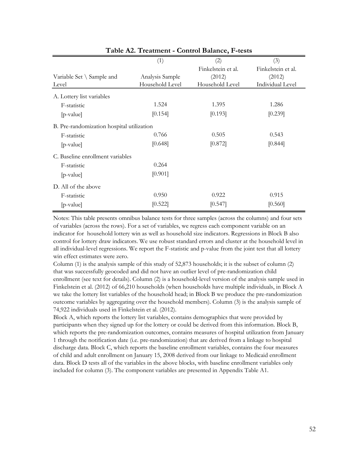|                                           | (1)             | (2)                | (3)                |
|-------------------------------------------|-----------------|--------------------|--------------------|
|                                           |                 | Finkelstein et al. | Finkelstein et al. |
| Variable Set $\setminus$ Sample and       | Analysis Sample | (2012)             | (2012)             |
| Level                                     | Household Level | Household Level    | Individual Level   |
| A. Lottery list variables                 |                 |                    |                    |
| F-statistic                               | 1.524           | 1.395              | 1.286              |
| $[p-value]$                               | [0.154]         | [0.193]            | [0.239]            |
| B. Pre-randomization hospital utilization |                 |                    |                    |
| F-statistic                               | 0.766           | 0.505              | 0.543              |
| $[p-value]$                               | [0.648]         | [0.872]            | [0.844]            |
| C. Baseline enrollment variables          |                 |                    |                    |
| F-statistic                               | 0.264           |                    |                    |
| [p-value]                                 | [0.901]         |                    |                    |
| D. All of the above                       |                 |                    |                    |
| F-statistic                               | 0.950           | 0.922              | 0.915              |
| $[p-value]$                               | [0.522]         | [0.547]            | [0.560]            |

**Table A2. Treatment - Control Balance, F-tests**

Notes: This table presents omnibus balance tests for three samples (across the columns) and four sets of variables (across the rows). For a set of variables, we regress each component variable on an indicator for household lottery win as well as household size indicators. Regressions in Block B also control for lottery draw indicators. We use robust standard errors and cluster at the household level in all individual-level regressions. We report the F-statistic and p-value from the joint test that all lottery win effect estimates were zero.

Column (1) is the analysis sample of this study of 52,873 households; it is the subset of column (2) that was successfully geocoded and did not have an outlier level of pre-randomization child enrollment (see text for details). Column (2) is a household-level version of the analysis sample used in Finkelstein et al. (2012) of 66,210 households (when households have multiple individuals, in Block A we take the lottery list variables of the household head; in Block B we produce the pre-randomization outcome variables by aggregating over the household members). Column (3) is the analysis sample of 74,922 individuals used in Finkelstein et al. (2012).

Block A, which reports the lottery list variables, contains demographics that were provided by participants when they signed up for the lottery or could be derived from this information. Block B, which reports the pre-randomization outcomes, contains measures of hospital utilization from January 1 through the notification date (i.e. pre-randomization) that are derived from a linkage to hospital discharge data. Block C, which reports the baseline enrollment variables, contains the four measures of child and adult enrollment on January 15, 2008 derived from our linkage to Medicaid enrollment data. Block D tests all of the variables in the above blocks, with baseline enrollment variables only included for column (3). The component variables are presented in Appendix Table A1.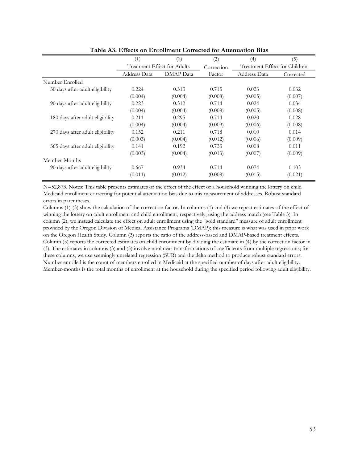|                                  | (1)                         | (2)       | (3)        | (4)                           | (5)       |
|----------------------------------|-----------------------------|-----------|------------|-------------------------------|-----------|
|                                  | Treatment Effect for Adults |           | Correction | Treatment Effect for Children |           |
|                                  | Address Data                | DMAP Data | Factor     | Address Data                  | Corrected |
| Number Enrolled                  |                             |           |            |                               |           |
| 30 days after adult eligibility  | 0.224                       | 0.313     | 0.715      | 0.023                         | 0.032     |
|                                  | (0.004)                     | (0.004)   | (0.008)    | (0.005)                       | (0.007)   |
| 90 days after adult eligibility  | 0.223                       | 0.312     | 0.714      | 0.024                         | 0.034     |
|                                  | (0.004)                     | (0.004)   | (0.008)    | (0.005)                       | (0.008)   |
| 180 days after adult eligibility | 0.211                       | 0.295     | 0.714      | 0.020                         | 0.028     |
|                                  | (0.004)                     | (0.004)   | (0.009)    | (0.006)                       | (0.008)   |
| 270 days after adult eligibility | 0.152                       | 0.211     | 0.718      | 0.010                         | 0.014     |
|                                  | (0.003)                     | (0.004)   | (0.012)    | (0.006)                       | (0.009)   |
| 365 days after adult eligibility | 0.141                       | 0.192     | 0.733      | 0.008                         | 0.011     |
|                                  | (0.003)                     | (0.004)   | (0.013)    | (0.007)                       | (0.009)   |
| Member-Months                    |                             |           |            |                               |           |
| 90 days after adult eligibility  | 0.667                       | 0.934     | 0.714      | 0.074                         | 0.103     |
|                                  | (0.011)                     | (0.012)   | (0.008)    | (0.015)                       | (0.021)   |

**Table A3. Effects on Enrollment Corrected for Attenuation Bias**

N=52,873. Notes: This table presents estimates of the effect of the effect of a household winning the lottery on child Medicaid enrollment correcting for potential attenuation bias due to mis-measurement of addresses. Robust standard errors in parentheses.

Columns (1)-(3) show the calculation of the correction factor. In columns (1) and (4) we repeat estimates of the effect of winning the lottery on adult enrollment and child enrollment, respectively, using the address match (see Table 3). In column (2), we instead calculate the effect on adult enrollment using the "gold standard" measure of adult enrollment provided by the Oregon Division of Medical Assistance Programs (DMAP); this measure is what was used in prior work on the Oregon Health Study. Column (3) reports the ratio of the address-based and DMAP-based treatment effects. Column (5) reports the corrected estimates on child enromment by dividing the estimate in (4) by the correction factor in (3). The estimates in columns (3) and (5) involve nonlinear transformations of coefficients from multiple regressions; for these columns, we use seemingly unrelated regression (SUR) and the delta method to produce robust standard errors. Number enrolled is the count of members enrolled in Medicaid at the specified number of days after adult eligibility. Member-months is the total months of enrollment at the household during the specified period following adult eligibility.